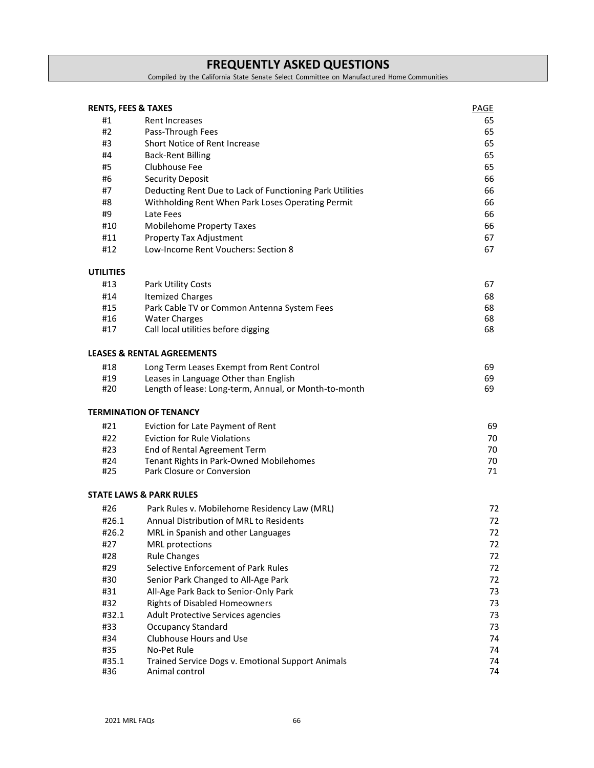# **FREQUENTLY ASKED QUESTIONS**

Compiled by the California State Senate Select Committee on Manufactured Home Communities

| <b>RENTS, FEES &amp; TAXES</b> |                                                          | PAGE |
|--------------------------------|----------------------------------------------------------|------|
| #1                             | Rent Increases                                           | 65   |
| #2                             | Pass-Through Fees                                        | 65   |
| #3                             | Short Notice of Rent Increase                            | 65   |
| #4                             | <b>Back-Rent Billing</b>                                 | 65   |
| #5                             | Clubhouse Fee                                            | 65   |
| #6                             | <b>Security Deposit</b>                                  | 66   |
| #7                             | Deducting Rent Due to Lack of Functioning Park Utilities | 66   |
| #8                             | Withholding Rent When Park Loses Operating Permit        | 66   |
| #9                             | Late Fees                                                | 66   |
| #10                            | <b>Mobilehome Property Taxes</b>                         | 66   |
| #11                            | Property Tax Adjustment                                  | 67   |
| #12                            | Low-Income Rent Vouchers: Section 8                      | 67   |
| <b>UTILITIES</b>               |                                                          |      |
| #13                            | <b>Park Utility Costs</b>                                | 67   |
| #14                            | <b>Itemized Charges</b>                                  | 68   |
| #15                            | Park Cable TV or Common Antenna System Fees              | 68   |
| #16                            | <b>Water Charges</b>                                     | 68   |
| #17                            | Call local utilities before digging                      | 68   |
|                                |                                                          |      |
|                                | <b>LEASES &amp; RENTAL AGREEMENTS</b>                    |      |
| #18                            | Long Term Leases Exempt from Rent Control                | 69   |
| #19                            | Leases in Language Other than English                    | 69   |
| #20                            | Length of lease: Long-term, Annual, or Month-to-month    | 69   |
|                                | <b>TERMINATION OF TENANCY</b>                            |      |
| #21                            | Eviction for Late Payment of Rent                        | 69   |
| #22                            | <b>Eviction for Rule Violations</b>                      | 70   |
| #23                            | End of Rental Agreement Term                             | 70   |
| #24                            | Tenant Rights in Park-Owned Mobilehomes                  | 70   |
| #25                            | Park Closure or Conversion                               | 71   |
|                                | <b>STATE LAWS &amp; PARK RULES</b>                       |      |
| #26                            | Park Rules v. Mobilehome Residency Law (MRL)             | 72   |
| #26.1                          | Annual Distribution of MRL to Residents                  | 72   |
| #26.2                          | MRL in Spanish and other Languages                       | 72   |
| #27                            | MRL protections                                          | 72   |
| #28                            | <b>Rule Changes</b>                                      | 72   |
| #29                            | Selective Enforcement of Park Rules                      | 72   |
| #30                            | Senior Park Changed to All-Age Park                      | 72   |
| #31                            | All-Age Park Back to Senior-Only Park                    | 73   |
| #32                            | <b>Rights of Disabled Homeowners</b>                     | 73   |
| #32.1                          | Adult Protective Services agencies                       | 73   |
| #33                            | <b>Occupancy Standard</b>                                | 73   |
| #34                            | Clubhouse Hours and Use                                  | 74   |
| #35                            | No-Pet Rule                                              | 74   |
| #35.1                          | Trained Service Dogs v. Emotional Support Animals        | 74   |
| #36                            | Animal control                                           | 74   |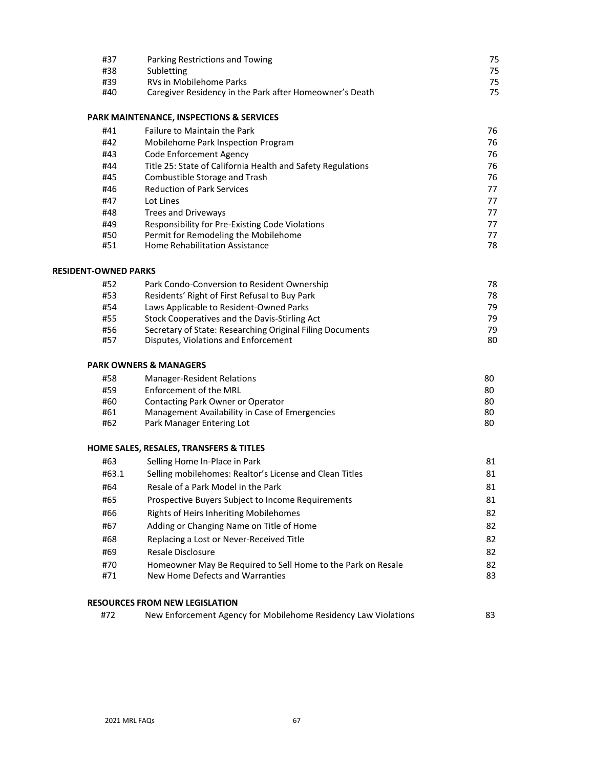| #37 | Parking Restrictions and Towing                         | 75. |
|-----|---------------------------------------------------------|-----|
| #38 | Subletting                                              | 75. |
| #39 | RVs in Mobilehome Parks                                 | 75. |
| #40 | Caregiver Residency in the Park after Homeowner's Death | 75. |

## **PARK MAINTENANCE, INSPECTIONS & SERVICES**

| #41 | <b>Failure to Maintain the Park</b>                         | 76 |
|-----|-------------------------------------------------------------|----|
| #42 | Mobilehome Park Inspection Program                          | 76 |
| #43 | Code Enforcement Agency                                     | 76 |
| #44 | Title 25: State of California Health and Safety Regulations | 76 |
| #45 | Combustible Storage and Trash                               | 76 |
| #46 | <b>Reduction of Park Services</b>                           | 77 |
| #47 | Lot Lines                                                   | 77 |
| #48 | Trees and Driveways                                         | 77 |
| #49 | Responsibility for Pre-Existing Code Violations             | 77 |
| #50 | Permit for Remodeling the Mobilehome                        | 77 |
| #51 | Home Rehabilitation Assistance                              | 78 |

#### **RESIDENT-OWNED PARKS**

| #52 | Park Condo-Conversion to Resident Ownership               | 78  |
|-----|-----------------------------------------------------------|-----|
| #53 | Residents' Right of First Refusal to Buy Park             | 78  |
| #54 | Laws Applicable to Resident-Owned Parks                   | 79  |
| #55 | Stock Cooperatives and the Davis-Stirling Act             | 79  |
| #56 | Secretary of State: Researching Original Filing Documents | 79. |
| #57 | Disputes, Violations and Enforcement                      | 80  |

## **PARK OWNERS & MANAGERS**

| 80 |
|----|
| 80 |
| 80 |
| 80 |
| 80 |
|    |

## **HOME SALES, RESALES, TRANSFERS & TITLES**

| #63   | Selling Home In-Place in Park                                | 81 |
|-------|--------------------------------------------------------------|----|
| #63.1 | Selling mobilehomes: Realtor's License and Clean Titles      | 81 |
| #64   | Resale of a Park Model in the Park                           | 81 |
| #65   | Prospective Buyers Subject to Income Requirements            | 81 |
| #66   | Rights of Heirs Inheriting Mobilehomes                       | 82 |
| #67   | Adding or Changing Name on Title of Home                     | 82 |
| #68   | Replacing a Lost or Never-Received Title                     | 82 |
| #69   | Resale Disclosure                                            | 82 |
| #70   | Homeowner May Be Required to Sell Home to the Park on Resale | 82 |
| #71   | New Home Defects and Warranties                              | 83 |
|       |                                                              |    |

## **RESOURCES FROM NEW LEGISLATION**

| #72 | New Enforcement Agency for Mobilehome Residency Law Violations | 83 |
|-----|----------------------------------------------------------------|----|
|-----|----------------------------------------------------------------|----|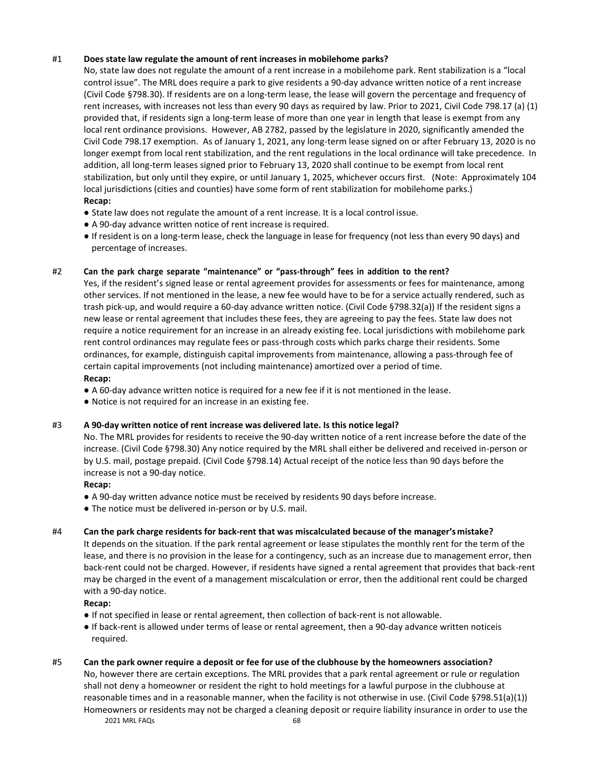## #1 **Does state law regulate the amount of rent increases in mobilehome parks?**

No, state law does not regulate the amount of a rent increase in a mobilehome park. Rent stabilization is a "local control issue". The MRL does require a park to give residents a 90-day advance written notice of a rent increase (Civil Code §798.30). If residents are on a long-term lease, the lease will govern the percentage and frequency of rent increases, with increases not less than every 90 days as required by law. Prior to 2021, Civil Code 798.17 (a) (1) provided that, if residents sign a long-term lease of more than one year in length that lease is exempt from any local rent ordinance provisions. However, AB 2782, passed by the legislature in 2020, significantly amended the Civil Code 798.17 exemption. As of January 1, 2021, any long-term lease signed on or after February 13, 2020 is no longer exempt from local rent stabilization, and the rent regulations in the local ordinance will take precedence. In addition, all long-term leases signed prior to February 13, 2020 shall continue to be exempt from local rent stabilization, but only until they expire, or until January 1, 2025, whichever occurs first. (Note: Approximately 104 local jurisdictions (cities and counties) have some form of rent stabilization for mobilehome parks.) **Recap:**

- State law does not regulate the amount of a rent increase. It is a local control issue.
- A 90-day advance written notice of rent increase is required.
- If resident is on a long-term lease, check the language in lease for frequency (not less than every 90 days) and percentage of increases.

## #2 **Can the park charge separate "maintenance" or "pass-through" fees in addition to the rent?**

Yes, if the resident's signed lease or rental agreement provides for assessments or fees for maintenance, among other services. If not mentioned in the lease, a new fee would have to be for a service actually rendered, such as trash pick-up, and would require a 60-day advance written notice. (Civil Code §798.32(a)) If the resident signs a new lease or rental agreement that includes these fees, they are agreeing to pay the fees. State law does not require a notice requirement for an increase in an already existing fee. Local jurisdictions with mobilehome park rent control ordinances may regulate fees or pass-through costs which parks charge their residents. Some ordinances, for example, distinguish capital improvements from maintenance, allowing a pass-through fee of certain capital improvements (not including maintenance) amortized over a period of time. **Recap:**

● A 60-day advance written notice is required for a new fee if it is not mentioned in the lease.

● Notice is not required for an increase in an existing fee.

## #3 **A 90-day written notice of rent increase was delivered late. Is this notice legal?**

No. The MRL provides for residents to receive the 90-day written notice of a rent increase before the date of the increase. (Civil Code §798.30) Any notice required by the MRL shall either be delivered and received in-person or by U.S. mail, postage prepaid. (Civil Code §798.14) Actual receipt of the notice less than 90 days before the increase is not a 90-day notice.

## **Recap:**

- A 90-day written advance notice must be received by residents 90 days before increase.
- The notice must be delivered in-person or by U.S. mail.

## #4 **Can the park charge residents for back-rent that was miscalculated because of the manager's mistake?**

It depends on the situation. If the park rental agreement or lease stipulates the monthly rent for the term of the lease, and there is no provision in the lease for a contingency, such as an increase due to management error, then back-rent could not be charged. However, if residents have signed a rental agreement that provides that back-rent may be charged in the event of a management miscalculation or error, then the additional rent could be charged with a 90-day notice.

## **Recap:**

- If not specified in lease or rental agreement, then collection of back-rent is not allowable.
- If back-rent is allowed under terms of lease or rental agreement, then a 90-day advance written noticeis required.

## #5 Can the park owner require a deposit or fee for use of the clubhouse by the homeowners association?

2021 MRL FAQs 68 No, however there are certain exceptions. The MRL provides that a park rental agreement or rule or regulation shall not deny a homeowner or resident the right to hold meetings for a lawful purpose in the clubhouse at reasonable times and in a reasonable manner, when the facility is not otherwise in use. (Civil Code §798.51(a)(1)) Homeowners or residents may not be charged a cleaning deposit or require liability insurance in order to use the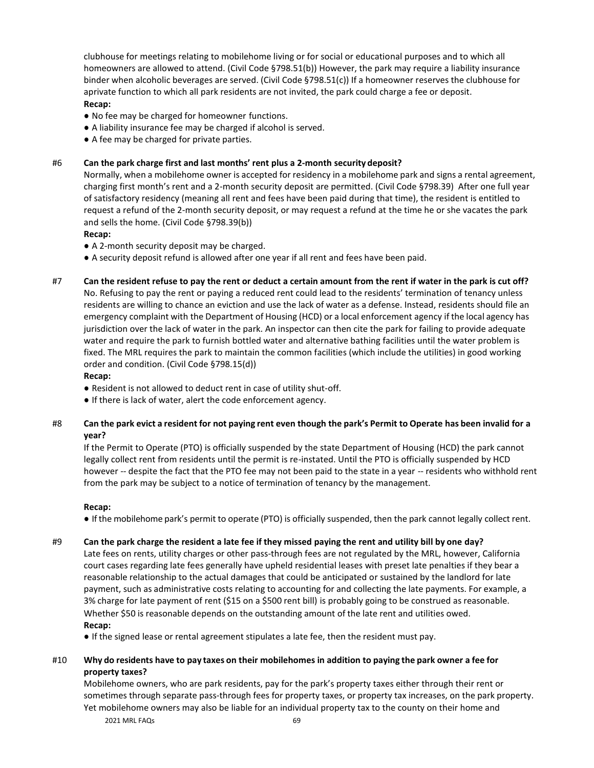clubhouse for meetings relating to mobilehome living or for social or educational purposes and to which all homeowners are allowed to attend. (Civil Code §798.51(b)) However, the park may require a liability insurance binder when alcoholic beverages are served. (Civil Code §798.51(c)) If a homeowner reserves the clubhouse for aprivate function to which all park residents are not invited, the park could charge a fee or deposit. **Recap:**

## ● No fee may be charged for homeowner functions.

- A liability insurance fee may be charged if alcohol is served.
- A fee may be charged for private parties.

## #6 **Can the park charge first and last months' rent plus a 2-month security deposit?**

Normally, when a mobilehome owner is accepted for residency in a mobilehome park and signs a rental agreement, charging first month's rent and a 2-month security deposit are permitted. (Civil Code §798.39) After one full year of satisfactory residency (meaning all rent and fees have been paid during that time), the resident is entitled to request a refund of the 2-month security deposit, or may request a refund at the time he or she vacates the park and sells the home. (Civil Code §798.39(b))

## **Recap:**

- A 2-month security deposit may be charged.
- A security deposit refund is allowed after one year if all rent and fees have been paid.
- #7 **Can the resident refuse to pay the rent or deduct a certain amount from the rent if water in the park is cut off?** No. Refusing to pay the rent or paying a reduced rent could lead to the residents' termination of tenancy unless residents are willing to chance an eviction and use the lack of water as a defense. Instead, residents should file an emergency complaint with the Department of Housing (HCD) or a local enforcement agency if the local agency has jurisdiction over the lack of water in the park. An inspector can then cite the park for failing to provide adequate water and require the park to furnish bottled water and alternative bathing facilities until the water problem is fixed. The MRL requires the park to maintain the common facilities (which include the utilities) in good working order and condition. (Civil Code §798.15(d))

## **Recap:**

- Resident is not allowed to deduct rent in case of utility shut-off.
- If there is lack of water, alert the code enforcement agency.
- #8 Can the park evict a resident for not paying rent even though the park's Permit to Operate has been invalid for a **year?**

If the Permit to Operate (PTO) is officially suspended by the state Department of Housing (HCD) the park cannot legally collect rent from residents until the permit is re-instated. Until the PTO is officially suspended by HCD however -- despite the fact that the PTO fee may not been paid to the state in a year -- residents who withhold rent from the park may be subject to a notice of termination of tenancy by the management.

## **Recap:**

● If the mobilehome park's permit to operate (PTO) is officially suspended, then the park cannot legally collect rent.

## #9 Can the park charge the resident a late fee if they missed paying the rent and utility bill by one day?

Late fees on rents, utility charges or other pass-through fees are not regulated by the MRL, however, California court cases regarding late fees generally have upheld residential leases with preset late penalties if they bear a reasonable relationship to the actual damages that could be anticipated or sustained by the landlord for late payment, such as administrative costs relating to accounting for and collecting the late payments. For example, a 3% charge for late payment of rent (\$15 on a \$500 rent bill) is probably going to be construed as reasonable. Whether \$50 is reasonable depends on the outstanding amount of the late rent and utilities owed. **Recap:**

- If the signed lease or rental agreement stipulates a late fee, then the resident must pay.
- #10 Why do residents have to pay taxes on their mobilehomes in addition to paying the park owner a fee for **property taxes?**

Mobilehome owners, who are park residents, pay for the park's property taxes either through their rent or sometimes through separate pass-through fees for property taxes, or property tax increases, on the park property. Yet mobilehome owners may also be liable for an individual property tax to the county on their home and

2021 MRL FAQs 69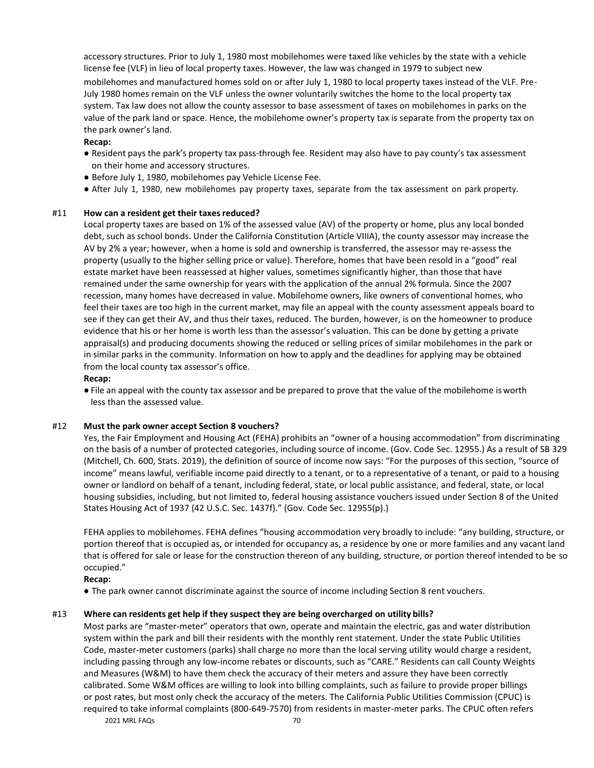accessory structures. Prior to July 1, 1980 most mobilehomes were taxed like vehicles by the state with a vehicle license fee (VLF) in lieu of local property taxes. However, the law was changed in 1979 to subject new mobilehomes and manufactured homes sold on or after July 1, 1980 to local property taxes instead of the VLF. Pre-July 1980 homes remain on the VLF unless the owner voluntarily switches the home to the local property tax system. Tax law does not allow the county assessor to base assessment of taxes on mobilehomes in parks on the value of the park land or space. Hence, the mobilehome owner's property tax is separate from the property tax on the park owner's land.

## **Recap:**

- Resident pays the park's property tax pass-through fee. Resident may also have to pay county's tax assessment on their home and accessory structures.
- Before July 1, 1980, mobilehomes pay Vehicle License Fee.
- After July 1, 1980, new mobilehomes pay property taxes, separate from the tax assessment on park property.

## #11 **How can a resident get their taxes reduced?**

Local property taxes are based on 1% of the assessed value (AV) of the property or home, plus any local bonded debt, such as school bonds. Under the California Constitution (Article VIIIA), the county assessor may increase the AV by 2% a year; however, when a home is sold and ownership is transferred, the assessor may re-assess the property (usually to the higher selling price or value). Therefore, homes that have been resold in a "good" real estate market have been reassessed at higher values, sometimes significantly higher, than those that have remained under the same ownership for years with the application of the annual 2% formula. Since the 2007 recession, many homes have decreased in value. Mobilehome owners, like owners of conventional homes, who feel their taxes are too high in the current market, may file an appeal with the county assessment appeals board to see if they can get their AV, and thus their taxes, reduced. The burden, however, is on the homeowner to produce evidence that his or her home is worth less than the assessor's valuation. This can be done by getting a private appraisal(s) and producing documents showing the reduced or selling prices of similar mobilehomes in the park or in similar parks in the community. Information on how to apply and the deadlines for applying may be obtained from the local county tax assessor's office.

## **Recap:**

● File an appeal with the county tax assessor and be prepared to prove that the value of the mobilehome isworth less than the assessed value.

## #12 **Must the park owner accept Section 8 vouchers?**

Yes, the Fair Employment and Housing Act (FEHA) prohibits an "owner of a housing accommodation" from discriminating on the basis of a number of protected categories, including source of income. (Gov. Code Sec. 12955.) As a result of SB 329 (Mitchell, Ch. 600, Stats. 2019), the definition of source of income now says: "For the purposes of this section, "source of income" means lawful, verifiable income paid directly to a tenant, or to a representative of a tenant, or paid to a housing owner or landlord on behalf of a tenant, including federal, state, or local public assistance, and federal, state, or local housing subsidies, including, but not limited to, federal housing assistance vouchers issued under Section 8 of the United States Housing Act of 1937 (42 U.S.C. Sec. 1437f)." (Gov. Code Sec. 12955(p).)

FEHA applies to mobilehomes. FEHA defines "housing accommodation very broadly to include: "any building, structure, or portion thereof that is occupied as, or intended for occupancy as, a residence by one or more families and any vacant land that is offered for sale or lease for the construction thereon of any building, structure, or portion thereof intended to be so occupied."

## **Recap:**

● The park owner cannot discriminate against the source of income including Section 8 rent vouchers.

## #13 **Where can residents get help if they suspect they are being overcharged on utility bills?**

2021 MRL FAQs 70 Most parks are "master-meter" operators that own, operate and maintain the electric, gas and water distribution system within the park and bill their residents with the monthly rent statement. Under the state Public Utilities Code, master-meter customers (parks) shall charge no more than the local serving utility would charge a resident, including passing through any low-income rebates or discounts, such as "CARE." Residents can call County Weights and Measures (W&M) to have them check the accuracy of their meters and assure they have been correctly calibrated. Some W&M offices are willing to look into billing complaints, such as failure to provide proper billings or post rates, but most only check the accuracy of the meters. The California Public Utilities Commission (CPUC) is required to take informal complaints (800-649-7570) from residents in master-meter parks. The CPUC often refers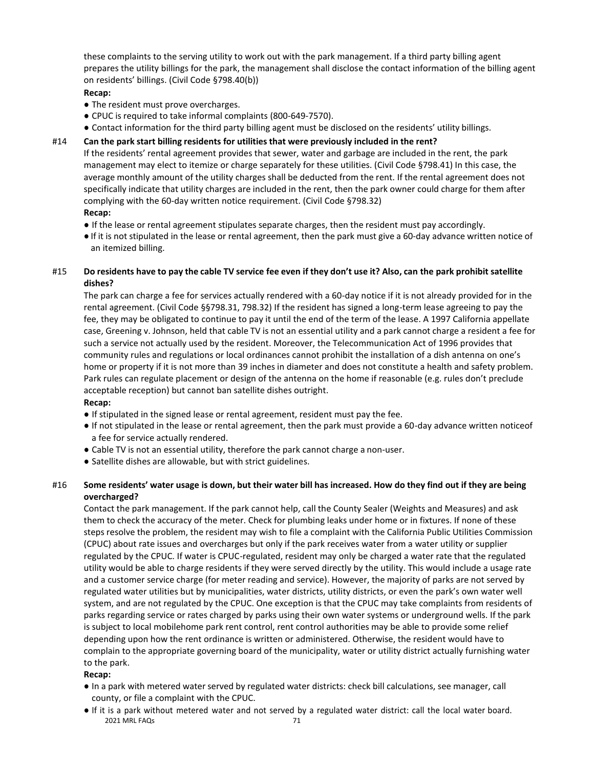these complaints to the serving utility to work out with the park management. If a third party billing agent prepares the utility billings for the park, the management shall disclose the contact information of the billing agent on residents' billings. (Civil Code §798.40(b))

## **Recap:**

- The resident must prove overcharges.
- CPUC is required to take informal complaints (800-649-7570).
- Contact information for the third party billing agent must be disclosed on the residents' utility billings.

## #14 **Can the park start billing residents for utilities that were previously included in the rent?**

If the residents' rental agreement provides that sewer, water and garbage are included in the rent, the park management may elect to itemize or charge separately for these utilities. (Civil Code §798.41) In this case, the average monthly amount of the utility charges shall be deducted from the rent. If the rental agreement does not specifically indicate that utility charges are included in the rent, then the park owner could charge for them after complying with the 60-day written notice requirement. (Civil Code §798.32) **Recap:**

- If the lease or rental agreement stipulates separate charges, then the resident must pay accordingly.
- If it is not stipulated in the lease or rental agreement, then the park must give a 60-day advance written notice of an itemized billing.

## #15 Do residents have to pay the cable TV service fee even if they don't use it? Also, can the park prohibit satellite **dishes?**

The park can charge a fee for services actually rendered with a 60-day notice if it is not already provided for in the rental agreement. (Civil Code §§798.31, 798.32) If the resident has signed a long-term lease agreeing to pay the fee, they may be obligated to continue to pay it until the end of the term of the lease. A 1997 California appellate case, Greening v. Johnson, held that cable TV is not an essential utility and a park cannot charge a resident a fee for such a service not actually used by the resident. Moreover, the Telecommunication Act of 1996 provides that community rules and regulations or local ordinances cannot prohibit the installation of a dish antenna on one's home or property if it is not more than 39 inches in diameter and does not constitute a health and safety problem. Park rules can regulate placement or design of the antenna on the home if reasonable (e.g. rules don't preclude acceptable reception) but cannot ban satellite dishes outright.

## **Recap:**

- If stipulated in the signed lease or rental agreement, resident must pay the fee.
- If not stipulated in the lease or rental agreement, then the park must provide a 60-day advance written noticeof a fee for service actually rendered.
- Cable TV is not an essential utility, therefore the park cannot charge a non-user.
- Satellite dishes are allowable, but with strict guidelines.

## #16 Some residents' water usage is down, but their water bill has increased. How do they find out if they are being **overcharged?**

Contact the park management. If the park cannot help, call the County Sealer (Weights and Measures) and ask them to check the accuracy of the meter. Check for plumbing leaks under home or in fixtures. If none of these steps resolve the problem, the resident may wish to file a complaint with the California Public Utilities Commission (CPUC) about rate issues and overcharges but only if the park receives water from a water utility or supplier regulated by the CPUC. If water is CPUC-regulated, resident may only be charged a water rate that the regulated utility would be able to charge residents if they were served directly by the utility. This would include a usage rate and a customer service charge (for meter reading and service). However, the majority of parks are not served by regulated water utilities but by municipalities, water districts, utility districts, or even the park's own water well system, and are not regulated by the CPUC. One exception is that the CPUC may take complaints from residents of parks regarding service or rates charged by parks using their own water systems or underground wells. If the park is subject to local mobilehome park rent control, rent control authorities may be able to provide some relief depending upon how the rent ordinance is written or administered. Otherwise, the resident would have to complain to the appropriate governing board of the municipality, water or utility district actually furnishing water to the park.

## **Recap:**

- In a park with metered water served by regulated water districts: check bill calculations, see manager, call county, or file a complaint with the CPUC.
- 2021 MRL FAQs 71 ● If it is a park without metered water and not served by a regulated water district: call the local water board.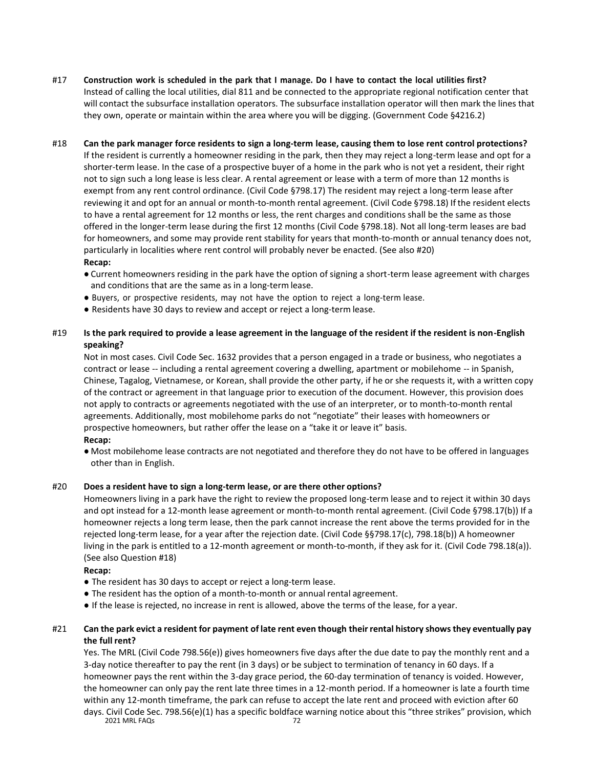#17 Construction work is scheduled in the park that I manage. Do I have to contact the local utilities first? Instead of calling the local utilities, dial 811 and be connected to the appropriate regional notification center that will contact the subsurface installation operators. The subsurface installation operator will then mark the lines that they own, operate or maintain within the area where you will be digging. (Government Code §4216.2)

## #18 Can the park manager force residents to sign a long-term lease, causing them to lose rent control protections? If the resident is currently a homeowner residing in the park, then they may reject a long-term lease and opt for a shorter-term lease. In the case of a prospective buyer of a home in the park who is not yet a resident, their right not to sign such a long lease is less clear. A rental agreement or lease with a term of more than 12 months is exempt from any rent control ordinance. (Civil Code §798.17) The resident may reject a long-term lease after reviewing it and opt for an annual or month-to-month rental agreement. (Civil Code §798.18) If the resident elects

to have a rental agreement for 12 months or less, the rent charges and conditions shall be the same as those offered in the longer-term lease during the first 12 months (Civil Code §798.18). Not all long-term leases are bad for homeowners, and some may provide rent stability for years that month-to-month or annual tenancy does not, particularly in localities where rent control will probably never be enacted. (See also #20)

## **Recap:**

- Current homeowners residing in the park have the option of signing a short-term lease agreement with charges and conditions that are the same as in a long-term lease.
- Buyers, or prospective residents, may not have the option to reject a long-term lease.
- Residents have 30 days to review and accept or reject a long-term lease.

## #19 **Is the park required to provide a lease agreement in the language of the resident if the resident is non-English speaking?**

Not in most cases. Civil Code Sec. 1632 provides that a person engaged in a trade or business, who negotiates a contract or lease -- including a rental agreement covering a dwelling, apartment or mobilehome -- in Spanish, Chinese, Tagalog, Vietnamese, or Korean, shall provide the other party, if he or she requests it, with a written copy of the contract or agreement in that language prior to execution of the document. However, this provision does not apply to contracts or agreements negotiated with the use of an interpreter, or to month-to-month rental agreements. Additionally, most mobilehome parks do not "negotiate" their leases with homeowners or prospective homeowners, but rather offer the lease on a "take it or leave it" basis. **Recap:**

● Most mobilehome lease contracts are not negotiated and therefore they do not have to be offered in languages other than in English.

## #20 **Does a resident have to sign a long-term lease, or are there other options?**

Homeowners living in a park have the right to review the proposed long-term lease and to reject it within 30 days and opt instead for a 12-month lease agreement or month-to-month rental agreement. (Civil Code §798.17(b)) If a homeowner rejects a long term lease, then the park cannot increase the rent above the terms provided for in the rejected long-term lease, for a year after the rejection date. (Civil Code §§798.17(c), 798.18(b)) A homeowner living in the park is entitled to a 12-month agreement or month-to-month, if they ask for it. (Civil Code 798.18(a)). (See also Question #18)

## **Recap:**

- The resident has 30 days to accept or reject a long-term lease.
- The resident has the option of a month-to-month or annual rental agreement.
- If the lease is rejected, no increase in rent is allowed, above the terms of the lease, for a year.

## #21 Can the park evict a resident for payment of late rent even though their rental history shows they eventually pay **the full rent?**

2021 MRL FAQs 72 Yes. The MRL (Civil Code 798.56(e)) gives homeowners five days after the due date to pay the monthly rent and a 3-day notice thereafter to pay the rent (in 3 days) or be subject to termination of tenancy in 60 days. If a homeowner pays the rent within the 3-day grace period, the 60-day termination of tenancy is voided. However, the homeowner can only pay the rent late three times in a 12-month period. If a homeowner is late a fourth time within any 12-month timeframe, the park can refuse to accept the late rent and proceed with eviction after 60 days. Civil Code Sec. 798.56(e)(1) has a specific boldface warning notice about this "three strikes" provision, which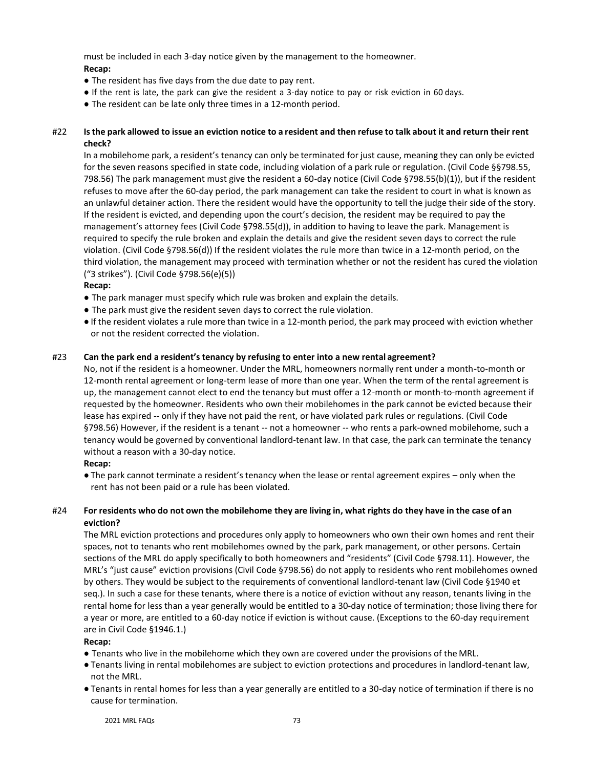must be included in each 3-day notice given by the management to the homeowner. **Recap:**

- The resident has five days from the due date to pay rent.
- If the rent is late, the park can give the resident a 3-day notice to pay or risk eviction in 60 days.
- The resident can be late only three times in a 12-month period.

## #22 Is the park allowed to issue an eviction notice to a resident and then refuse to talk about it and return their rent **check?**

In a mobilehome park, a resident's tenancy can only be terminated for just cause, meaning they can only be evicted for the seven reasons specified in state code, including violation of a park rule or regulation. (Civil Code §§798.55, 798.56) The park management must give the resident a 60-day notice (Civil Code §798.55(b)(1)), but if the resident refuses to move after the 60-day period, the park management can take the resident to court in what is known as an unlawful detainer action. There the resident would have the opportunity to tell the judge their side of the story. If the resident is evicted, and depending upon the court's decision, the resident may be required to pay the management's attorney fees (Civil Code §798.55(d)), in addition to having to leave the park. Management is required to specify the rule broken and explain the details and give the resident seven days to correct the rule violation. (Civil Code §798.56(d)) If the resident violates the rule more than twice in a 12-month period, on the third violation, the management may proceed with termination whether or not the resident has cured the violation ("3 strikes"). (Civil Code §798.56(e)(5))

## **Recap:**

- The park manager must specify which rule was broken and explain the details.
- The park must give the resident seven days to correct the rule violation.
- If the resident violates a rule more than twice in a 12-month period, the park may proceed with eviction whether or not the resident corrected the violation.

## #23 **Can the park end a resident's tenancy by refusing to enter into a new rental agreement?**

No, not if the resident is a homeowner. Under the MRL, homeowners normally rent under a month-to-month or 12-month rental agreement or long-term lease of more than one year. When the term of the rental agreement is up, the management cannot elect to end the tenancy but must offer a 12-month or month-to-month agreement if requested by the homeowner. Residents who own their mobilehomes in the park cannot be evicted because their lease has expired -- only if they have not paid the rent, or have violated park rules or regulations. (Civil Code §798.56) However, if the resident is a tenant -- not a homeowner -- who rents a park-owned mobilehome, such a tenancy would be governed by conventional landlord-tenant law. In that case, the park can terminate the tenancy without a reason with a 30-day notice.

## **Recap:**

● The park cannot terminate a resident's tenancy when the lease or rental agreement expires – only when the rent has not been paid or a rule has been violated.

## #24 For residents who do not own the mobilehome they are living in, what rights do they have in the case of an **eviction?**

The MRL eviction protections and procedures only apply to homeowners who own their own homes and rent their spaces, not to tenants who rent mobilehomes owned by the park, park management, or other persons. Certain sections of the MRL do apply specifically to both homeowners and "residents" (Civil Code §798.11). However, the MRL's "just cause" eviction provisions (Civil Code §798.56) do not apply to residents who rent mobilehomes owned by others. They would be subject to the requirements of conventional landlord-tenant law (Civil Code §1940 et seq.). In such a case for these tenants, where there is a notice of eviction without any reason, tenants living in the rental home for less than a year generally would be entitled to a 30-day notice of termination; those living there for a year or more, are entitled to a 60-day notice if eviction is without cause. (Exceptions to the 60-day requirement are in Civil Code §1946.1.)

## **Recap:**

- Tenants who live in the mobilehome which they own are covered under the provisions of the MRL.
- Tenants living in rental mobilehomes are subject to eviction protections and procedures in landlord-tenant law, not the MRL.
- Tenants in rental homes for less than a year generally are entitled to a 30-day notice of termination if there is no cause for termination.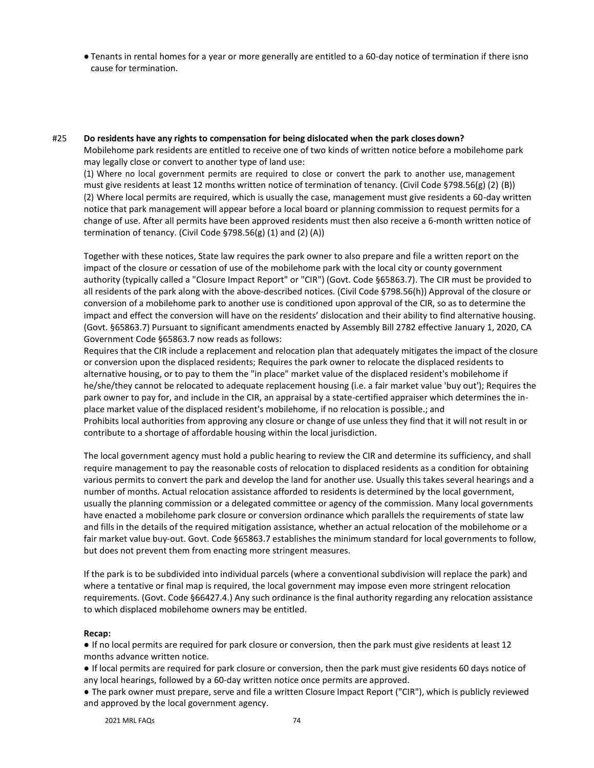● Tenants in rental homes for a year or more generally are entitled to a 60-day notice of termination if there isno cause for termination.

#25 **Do residents have any rights to compensation for being dislocated when the park closes down?** Mobilehome park residents are entitled to receive one of two kinds of written notice before a mobilehome park may legally close or convert to another type of land use:

(1) Where no local government permits are required to close or convert the park to another use, management must give residents at least 12 months written notice of termination of tenancy. (Civil Code §798.56(g) (2) (B)) (2) Where local permits are required, which is usually the case, management must give residents a 60-day written notice that park management will appear before a local board or planning commission to request permits for a change of use. After all permits have been approved residents must then also receive a 6-month written notice of termination of tenancy. (Civil Code §798.56(g) (1) and (2) (A))

Together with these notices, State law requires the park owner to also prepare and file a written report on the impact of the closure or cessation of use of the mobilehome park with the local city or county government authority (typically called a "Closure Impact Report" or "CIR") (Govt. Code §65863.7). The CIR must be provided to all residents of the park along with the above-described notices. (Civil Code §798.56(h)) Approval of the closure or conversion of a mobilehome park to another use is conditioned upon approval of the CIR, so as to determine the impact and effect the conversion will have on the residents' dislocation and their ability to find alternative housing. (Govt. §65863.7) Pursuant to significant amendments enacted by Assembly Bill 2782 effective January 1, 2020, CA Government Code §65863.7 now reads as follows:

Requires that the CIR include a replacement and relocation plan that adequately mitigates the impact of the closure or conversion upon the displaced residents; Requires the park owner to relocate the displaced residents to alternative housing, or to pay to them the "in place" market value of the displaced resident's mobilehome if he/she/they cannot be relocated to adequate replacement housing (i.e. a fair market value 'buy out'); Requires the park owner to pay for, and include in the CIR, an appraisal by a state-certified appraiser which determines the inplace market value of the displaced resident's mobilehome, if no relocation is possible.; and Prohibits local authorities from approving any closure or change of use unless they find that it will not result in or contribute to a shortage of affordable housing within the local jurisdiction.

The local government agency must hold a public hearing to review the CIR and determine its sufficiency, and shall require management to pay the reasonable costs of relocation to displaced residents as a condition for obtaining various permits to convert the park and develop the land for another use. Usually this takes several hearings and a number of months. Actual relocation assistance afforded to residents is determined by the local government, usually the planning commission or a delegated committee or agency of the commission. Many local governments have enacted a mobilehome park closure or conversion ordinance which parallels the requirements of state law and fills in the details of the required mitigation assistance, whether an actual relocation of the mobilehome or a fair market value buy-out. Govt. Code §65863.7 establishes the minimum standard for local governments to follow, but does not prevent them from enacting more stringent measures.

If the park is to be subdivided into individual parcels (where a conventional subdivision will replace the park) and where a tentative or final map is required, the local government may impose even more stringent relocation requirements. (Govt. Code §66427.4.) Any such ordinance is the final authority regarding any relocation assistance to which displaced mobilehome owners may be entitled.

## **Recap:**

● If no local permits are required for park closure or conversion, then the park must give residents at least 12 months advance written notice.

● If local permits are required for park closure or conversion, then the park must give residents 60 days notice of any local hearings, followed by a 60-day written notice once permits are approved.

● The park owner must prepare, serve and file a written Closure Impact Report ("CIR"), which is publicly reviewed and approved by the local government agency.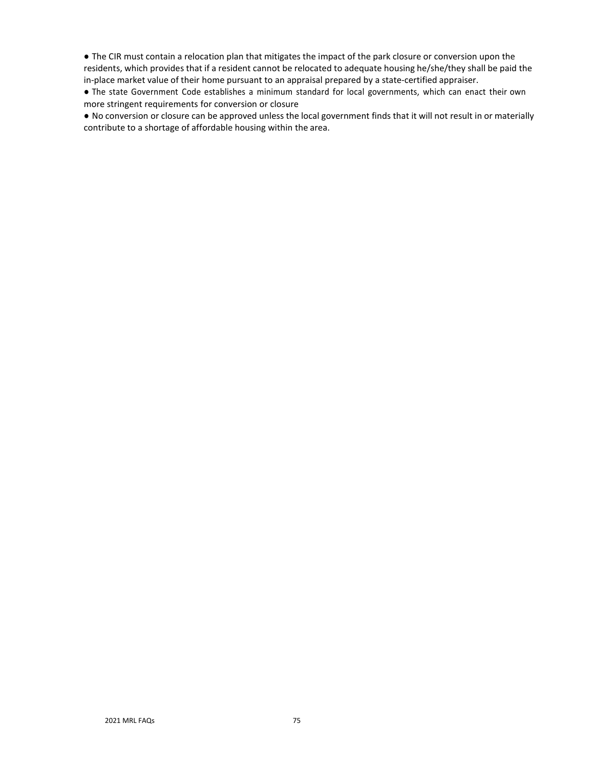● The CIR must contain a relocation plan that mitigates the impact of the park closure or conversion upon the residents, which provides that if a resident cannot be relocated to adequate housing he/she/they shall be paid the in-place market value of their home pursuant to an appraisal prepared by a state-certified appraiser.

● The state Government Code establishes a minimum standard for local governments, which can enact their own more stringent requirements for conversion or closure

● No conversion or closure can be approved unless the local government finds that it will not result in or materially contribute to a shortage of affordable housing within the area.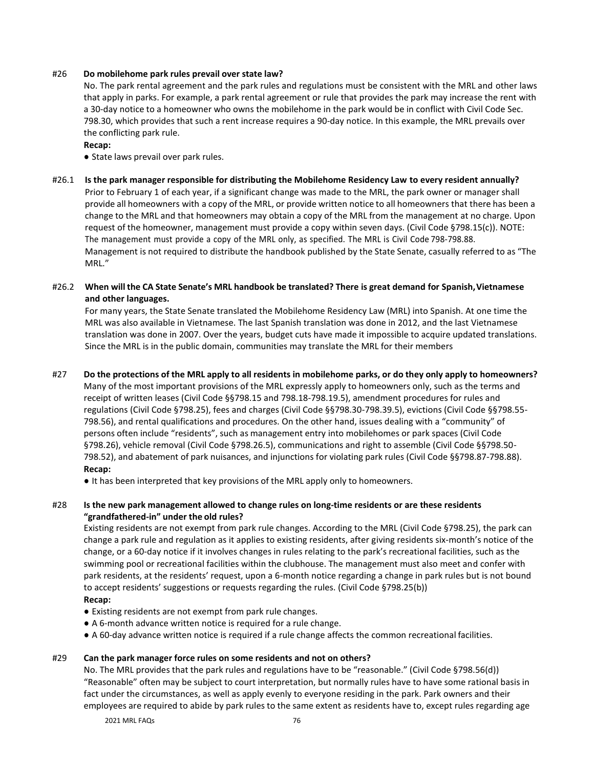## #26 **Do mobilehome park rules prevail over state law?**

No. The park rental agreement and the park rules and regulations must be consistent with the MRL and other laws that apply in parks. For example, a park rental agreement or rule that provides the park may increase the rent with a 30-day notice to a homeowner who owns the mobilehome in the park would be in conflict with Civil Code Sec. 798.30, which provides that such a rent increase requires a 90-day notice. In this example, the MRL prevails over the conflicting park rule.

#### **Recap:**

● State laws prevail over park rules.

- #26.1 **Is the park manager responsible for distributing the Mobilehome Residency Law to every resident annually?** Prior to February 1 of each year, if a significant change was made to the MRL, the park owner or manager shall provide all homeowners with a copy of the MRL, or provide written notice to all homeowners that there has been a change to the MRL and that homeowners may obtain a copy of the MRL from the management at no charge. Upon request of the homeowner, management must provide a copy within seven days. (Civil Code §798.15(c)). NOTE: The management must provide a copy of the MRL only, as specified. The MRL is Civil Code 798-798.88. Management is not required to distribute the handbook published by the State Senate, casually referred to as "The MRL."
- #26.2 **When will the CA State Senate's MRL handbook be translated? There is great demand for Spanish,Vietnamese and other languages.**

For many years, the State Senate translated the Mobilehome Residency Law (MRL) into Spanish. At one time the MRL was also available in Vietnamese. The last Spanish translation was done in 2012, and the last Vietnamese translation was done in 2007. Over the years, budget cuts have made it impossible to acquire updated translations. Since the MRL is in the public domain, communities may translate the MRL for their members

#27 Do the protections of the MRL apply to all residents in mobilehome parks, or do they only apply to homeowners?

Many of the most important provisions of the MRL expressly apply to homeowners only, such as the terms and receipt of written leases (Civil Code §§798.15 and 798.18-798.19.5), amendment procedures for rules and regulations (Civil Code §798.25), fees and charges (Civil Code §§798.30-798.39.5), evictions (Civil Code §§798.55- 798.56), and rental qualifications and procedures. On the other hand, issues dealing with a "community" of persons often include "residents", such as management entry into mobilehomes or park spaces (Civil Code §798.26), vehicle removal (Civil Code §798.26.5), communications and right to assemble (Civil Code §§798.50-798.52), and abatement of park nuisances, and injunctions for violating park rules (Civil Code §§798.87-798.88). **Recap:**

● It has been interpreted that key provisions of the MRL apply only to homeowners.

## #28 **Is the new park management allowed to change rules on long-time residents or are these residents "grandfathered-in" under the old rules?**

Existing residents are not exempt from park rule changes. According to the MRL (Civil Code §798.25), the park can change a park rule and regulation as it applies to existing residents, after giving residents six-month's notice of the change, or a 60-day notice if it involves changes in rules relating to the park's recreational facilities, such as the swimming pool or recreational facilities within the clubhouse. The management must also meet and confer with park residents, at the residents' request, upon a 6-month notice regarding a change in park rules but is not bound to accept residents' suggestions or requests regarding the rules. (Civil Code §798.25(b))

## **Recap:**

- Existing residents are not exempt from park rule changes.
- A 6-month advance written notice is required for a rule change.
- A 60-day advance written notice is required if a rule change affects the common recreational facilities.

#### #29 **Can the park manager force rules on some residents and not on others?**

No. The MRL provides that the park rules and regulations have to be "reasonable." (Civil Code §798.56(d)) "Reasonable" often may be subject to court interpretation, but normally rules have to have some rational basis in fact under the circumstances, as well as apply evenly to everyone residing in the park. Park owners and their employees are required to abide by park rules to the same extent as residents have to, except rules regarding age

2021 MRL FAQs 76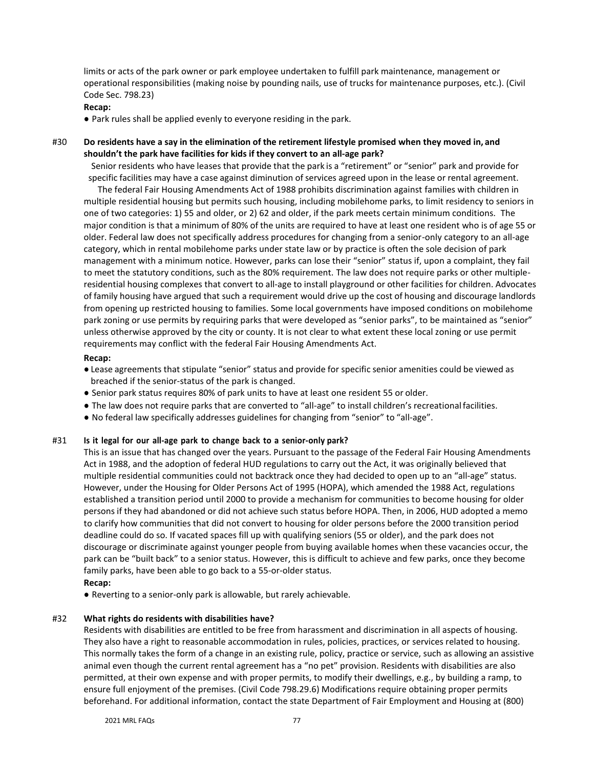limits or acts of the park owner or park employee undertaken to fulfill park maintenance, management or operational responsibilities (making noise by pounding nails, use of trucks for maintenance purposes, etc.). (Civil Code Sec. 798.23)

## **Recap:**

● Park rules shall be applied evenly to everyone residing in the park.

## #30 **Do residents have a say in the elimination of the retirement lifestyle promised when they moved in, and shouldn't the park have facilities for kids if they convert to an all-age park?**

Senior residents who have leases that provide that the park is a "retirement" or "senior" park and provide for specific facilities may have a case against diminution of services agreed upon in the lease or rental agreement.

The federal Fair Housing Amendments Act of 1988 prohibits discrimination against families with children in multiple residential housing but permits such housing, including mobilehome parks, to limit residency to seniors in one of two categories: 1) 55 and older, or 2) 62 and older, if the park meets certain minimum conditions. The major condition is that a minimum of 80% of the units are required to have at least one resident who is of age 55 or older. Federal law does not specifically address procedures for changing from a senior-only category to an all-age category, which in rental mobilehome parks under state law or by practice is often the sole decision of park management with a minimum notice. However, parks can lose their "senior" status if, upon a complaint, they fail to meet the statutory conditions, such as the 80% requirement. The law does not require parks or other multipleresidential housing complexes that convert to all-age to install playground or other facilities for children. Advocates of family housing have argued that such a requirement would drive up the cost of housing and discourage landlords from opening up restricted housing to families. Some local governments have imposed conditions on mobilehome park zoning or use permits by requiring parks that were developed as "senior parks", to be maintained as "senior" unless otherwise approved by the city or county. It is not clear to what extent these local zoning or use permit requirements may conflict with the federal Fair Housing Amendments Act.

#### **Recap:**

- Lease agreements that stipulate "senior" status and provide for specific senior amenities could be viewed as breached if the senior-status of the park is changed.
- Senior park status requires 80% of park units to have at least one resident 55 or older.
- The law does not require parks that are converted to "all-age" to install children's recreationalfacilities.
- No federal law specifically addresses guidelines for changing from "senior" to "all-age".

## #31 **Is it legal for our all-age park to change back to a senior-only park?**

This is an issue that has changed over the years. Pursuant to the passage of the Federal Fair Housing Amendments Act in 1988, and the adoption of federal HUD regulations to carry out the Act, it was originally believed that multiple residential communities could not backtrack once they had decided to open up to an "all-age" status. However, under the Housing for Older Persons Act of 1995 (HOPA), which amended the 1988 Act, regulations established a transition period until 2000 to provide a mechanism for communities to become housing for older persons if they had abandoned or did not achieve such status before HOPA. Then, in 2006, HUD adopted a memo to clarify how communities that did not convert to housing for older persons before the 2000 transition period deadline could do so. If vacated spaces fill up with qualifying seniors (55 or older), and the park does not discourage or discriminate against younger people from buying available homes when these vacancies occur, the park can be "built back" to a senior status. However, this is difficult to achieve and few parks, once they become family parks, have been able to go back to a 55-or-older status.

## **Recap:**

● Reverting to a senior-only park is allowable, but rarely achievable.

## #32 **What rights do residents with disabilities have?**

Residents with disabilities are entitled to be free from harassment and discrimination in all aspects of housing. They also have a right to reasonable accommodation in rules, policies, practices, or services related to housing. This normally takes the form of a change in an existing rule, policy, practice or service, such as allowing an assistive animal even though the current rental agreement has a "no pet" provision. Residents with disabilities are also permitted, at their own expense and with proper permits, to modify their dwellings, e.g., by building a ramp, to ensure full enjoyment of the premises. (Civil Code 798.29.6) Modifications require obtaining proper permits beforehand. For additional information, contact the state Department of Fair Employment and Housing at (800)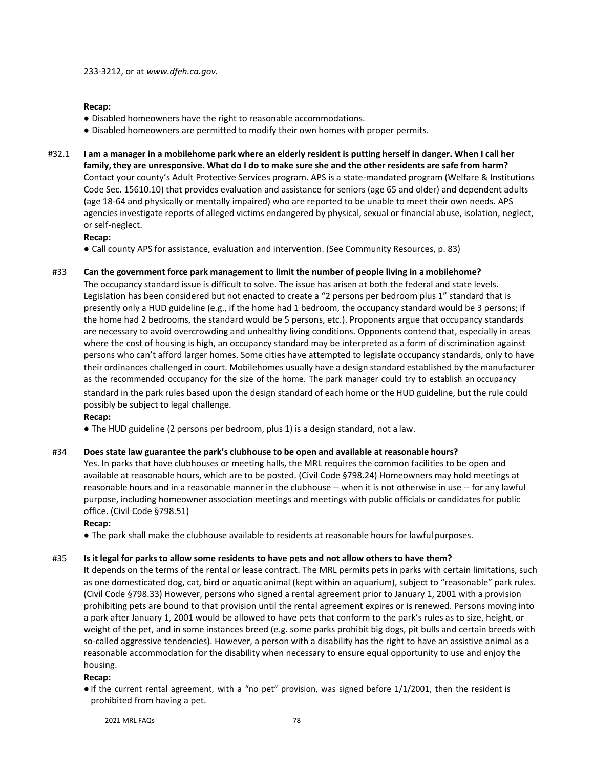#### **Recap:**

- Disabled homeowners have the right to reasonable accommodations.
- Disabled homeowners are permitted to modify their own homes with proper permits.
- #32.1 I am a manager in a mobilehome park where an elderly resident is putting herself in danger. When I call her family, they are unresponsive. What do I do to make sure she and the other residents are safe from harm? Contact your county's Adult Protective Services program. APS is a state-mandated program (Welfare & Institutions Code Sec. 15610.10) that provides evaluation and assistance for seniors (age 65 and older) and dependent adults (age 18-64 and physically or mentally impaired) who are reported to be unable to meet their own needs. APS agencies investigate reports of alleged victims endangered by physical, sexual or financial abuse, isolation, neglect, or self-neglect.

#### **Recap:**

● Call county APS for assistance, evaluation and intervention. (See Community Resources, p. 83)

## #33 **Can the government force park management to limit the number of people living in a mobilehome?**

The occupancy standard issue is difficult to solve. The issue has arisen at both the federal and state levels. Legislation has been considered but not enacted to create a "2 persons per bedroom plus 1" standard that is presently only a HUD guideline (e.g., if the home had 1 bedroom, the occupancy standard would be 3 persons; if the home had 2 bedrooms, the standard would be 5 persons, etc.). Proponents argue that occupancy standards are necessary to avoid overcrowding and unhealthy living conditions. Opponents contend that, especially in areas where the cost of housing is high, an occupancy standard may be interpreted as a form of discrimination against persons who can't afford larger homes. Some cities have attempted to legislate occupancy standards, only to have their ordinances challenged in court. Mobilehomes usually have a design standard established by the manufacturer as the recommended occupancy for the size of the home. The park manager could try to establish an occupancy standard in the park rules based upon the design standard of each home or the HUD guideline, but the rule could possibly be subject to legal challenge.

## **Recap:**

● The HUD guideline (2 persons per bedroom, plus 1) is a design standard, not a law.

#### #34 **Does state law guarantee the park's clubhouse to be open and available at reasonable hours?**

Yes. In parks that have clubhouses or meeting halls, the MRL requires the common facilities to be open and available at reasonable hours, which are to be posted. (Civil Code §798.24) Homeowners may hold meetings at reasonable hours and in a reasonable manner in the clubhouse -- when it is not otherwise in use -- for any lawful purpose, including homeowner association meetings and meetings with public officials or candidates for public office. (Civil Code §798.51)

#### **Recap:**

● The park shall make the clubhouse available to residents at reasonable hours for lawful purposes.

#### #35 Is it legal for parks to allow some residents to have pets and not allow others to have them?

It depends on the terms of the rental or lease contract. The MRL permits pets in parks with certain limitations, such as one domesticated dog, cat, bird or aquatic animal (kept within an aquarium), subject to "reasonable" park rules. (Civil Code §798.33) However, persons who signed a rental agreement prior to January 1, 2001 with a provision prohibiting pets are bound to that provision until the rental agreement expires or is renewed. Persons moving into a park after January 1, 2001 would be allowed to have pets that conform to the park's rules as to size, height, or weight of the pet, and in some instances breed (e.g. some parks prohibit big dogs, pit bulls and certain breeds with so-called aggressive tendencies). However, a person with a disability has the right to have an assistive animal as a reasonable accommodation for the disability when necessary to ensure equal opportunity to use and enjoy the housing.

#### **Recap:**

● If the current rental agreement, with a "no pet" provision, was signed before 1/1/2001, then the resident is prohibited from having a pet.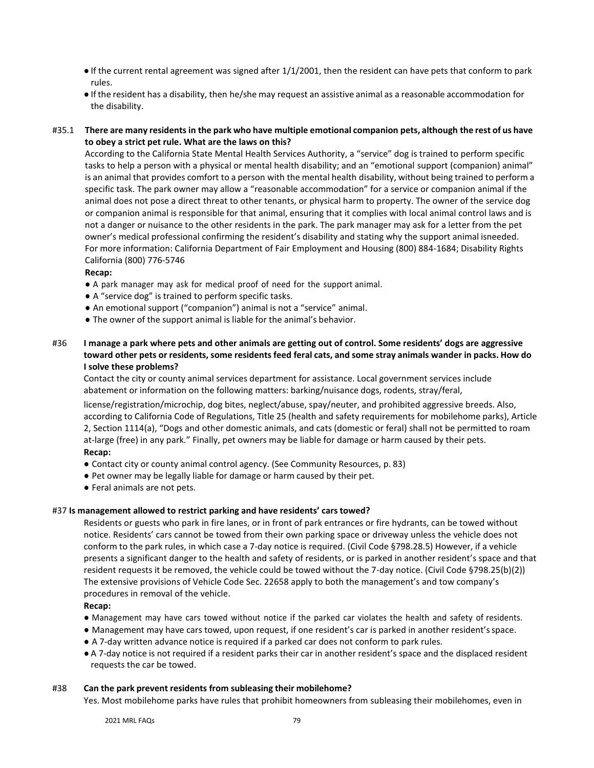- If the current rental agreement was signed after 1/1/2001, then the resident can have pets that conform to park rules.
- If the resident has a disability, then he/she may request an assistive animal as a reasonable accommodation for the disability.

## #35.1 There are many residents in the park who have multiple emotional companion pets, although the rest of us have **to obey a strict pet rule. What are the laws on this?**

According to the California State Mental Health Services Authority, a "service" dog is trained to perform specific tasks to help a person with a physical or mental health disability; and an "emotional support (companion) animal" is an animal that provides comfort to a person with the mental health disability, without being trained to perform a specific task. The park owner may allow a "reasonable accommodation" for a service or companion animal if the animal does not pose a direct threat to other tenants, or physical harm to property. The owner of the service dog or companion animal is responsible for that animal, ensuring that it complies with local animal control laws and is not a danger or nuisance to the other residents in the park. The park manager may ask for a letter from the pet owner's medical professional confirming the resident's disability and stating why the support animal isneeded. For more information: California Department of Fair Employment and Housing (800) 884-1684; Disability Rights California (800) 776-5746

## **Recap:**

- A park manager may ask for medical proof of need for the support animal.
- A "service dog" is trained to perform specific tasks.
- An emotional support ("companion") animal is not a "service" animal.
- The owner of the support animal is liable for the animal's behavior.

## #36 **I manage a park where pets and other animals are getting out of control. Some residents' dogs are aggressive** toward other pets or residents, some residents feed feral cats, and some stray animals wander in packs. How do **I solve these problems?**

Contact the city or county animal services department for assistance. Local government services include abatement or information on the following matters: barking/nuisance dogs, rodents, stray/feral,

license/registration/microchip, dog bites, neglect/abuse, spay/neuter, and prohibited aggressive breeds. Also, according to California Code of Regulations, Title 25 (health and safety requirements for mobilehome parks), Article 2, Section 1114(a), "Dogs and other domestic animals, and cats (domestic or feral) shall not be permitted to roam at-large (free) in any park." Finally, pet owners may be liable for damage or harm caused by their pets. **Recap:**

- Contact city or county animal control agency. (See Community Resources, p. 83)
- Pet owner may be legally liable for damage or harm caused by their pet.
- Feral animals are not pets.

## #37 **Is management allowed to restrict parking and have residents' cars towed?**

Residents or guests who park in fire lanes, or in front of park entrances or fire hydrants, can be towed without notice. Residents' cars cannot be towed from their own parking space or driveway unless the vehicle does not conform to the park rules, in which case a 7-day notice is required. (Civil Code §798.28.5) However, if a vehicle presents a significant danger to the health and safety of residents, or is parked in another resident's space and that resident requests it be removed, the vehicle could be towed without the 7-day notice. (Civil Code §798.25(b)(2)) The extensive provisions of Vehicle Code Sec. 22658 apply to both the management's and tow company's procedures in removal of the vehicle.

## **Recap:**

- Management may have cars towed without notice if the parked car violates the health and safety of residents.
- Management may have cars towed, upon request, if one resident's car is parked in another resident'sspace.
- A 7-day written advance notice is required if a parked car does not conform to park rules.
- A 7-day notice is not required if a resident parks their car in another resident's space and the displaced resident requests the car be towed.

## #38 **Can the park prevent residents from subleasing their mobilehome?**

Yes. Most mobilehome parks have rules that prohibit homeowners from subleasing their mobilehomes, even in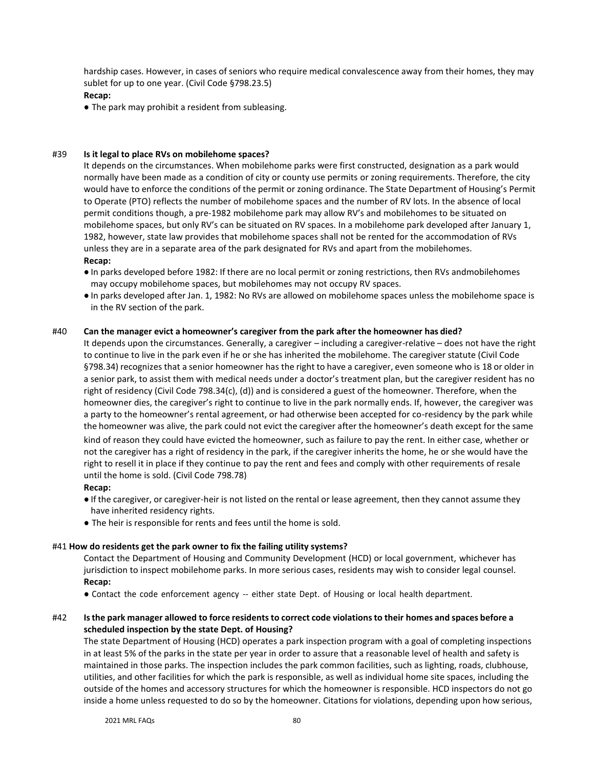hardship cases. However, in cases of seniors who require medical convalescence away from their homes, they may sublet for up to one year. (Civil Code §798.23.5)

## **Recap:**

● The park may prohibit a resident from subleasing.

## #39 **Is it legal to place RVs on mobilehome spaces?**

It depends on the circumstances. When mobilehome parks were first constructed, designation as a park would normally have been made as a condition of city or county use permits or zoning requirements. Therefore, the city would have to enforce the conditions of the permit or zoning ordinance. The State Department of Housing's Permit to Operate (PTO) reflects the number of mobilehome spaces and the number of RV lots. In the absence of local permit conditions though, a pre-1982 mobilehome park may allow RV's and mobilehomes to be situated on mobilehome spaces, but only RV's can be situated on RV spaces. In a mobilehome park developed after January 1, 1982, however, state law provides that mobilehome spaces shall not be rented for the accommodation of RVs unless they are in a separate area of the park designated for RVs and apart from the mobilehomes. **Recap:**

- In parks developed before 1982: If there are no local permit or zoning restrictions, then RVs andmobilehomes may occupy mobilehome spaces, but mobilehomes may not occupy RV spaces.
- In parks developed after Jan. 1, 1982: No RVs are allowed on mobilehome spaces unless the mobilehome space is in the RV section of the park.

## #40 **Can the manager evict a homeowner's caregiver from the park after the homeowner has died?**

It depends upon the circumstances. Generally, a caregiver – including a caregiver-relative – does not have the right to continue to live in the park even if he or she has inherited the mobilehome. The caregiver statute (Civil Code §798.34) recognizes that a senior homeowner has the right to have a caregiver, even someone who is 18 or older in a senior park, to assist them with medical needs under a doctor's treatment plan, but the caregiver resident has no right of residency (Civil Code 798.34(c), (d)) and is considered a guest of the homeowner. Therefore, when the homeowner dies, the caregiver's right to continue to live in the park normally ends. If, however, the caregiver was a party to the homeowner's rental agreement, or had otherwise been accepted for co-residency by the park while the homeowner was alive, the park could not evict the caregiver after the homeowner's death except for the same kind of reason they could have evicted the homeowner, such as failure to pay the rent. In either case, whether or not the caregiver has a right of residency in the park, if the caregiver inherits the home, he or she would have the right to resell it in place if they continue to pay the rent and fees and comply with other requirements of resale until the home is sold. (Civil Code 798.78)

## **Recap:**

- If the caregiver, or caregiver-heir is not listed on the rental or lease agreement, then they cannot assume they have inherited residency rights.
- The heir is responsible for rents and fees until the home is sold.

## #41 **How do residents get the park owner to fix the failing utility systems?**

Contact the Department of Housing and Community Development (HCD) or local government, whichever has jurisdiction to inspect mobilehome parks. In more serious cases, residents may wish to consider legal counsel. **Recap:**

● Contact the code enforcement agency -- either state Dept. of Housing or local health department.

## #42 **Isthe park manager allowed to force residentsto correct code violationsto their homes and spaces before a scheduled inspection by the state Dept. of Housing?**

The state Department of Housing (HCD) operates a park inspection program with a goal of completing inspections in at least 5% of the parks in the state per year in order to assure that a reasonable level of health and safety is maintained in those parks. The inspection includes the park common facilities, such as lighting, roads, clubhouse, utilities, and other facilities for which the park is responsible, as well as individual home site spaces, including the outside of the homes and accessory structures for which the homeowner is responsible. HCD inspectors do not go inside a home unless requested to do so by the homeowner. Citations for violations, depending upon how serious,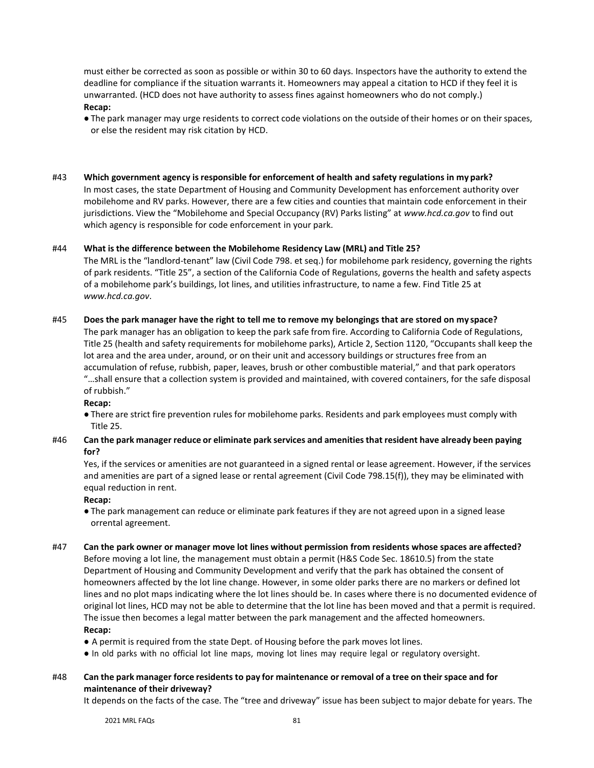must either be corrected as soon as possible or within 30 to 60 days. Inspectors have the authority to extend the deadline for compliance if the situation warrants it. Homeowners may appeal a citation to HCD if they feel it is unwarranted. (HCD does not have authority to assess fines against homeowners who do not comply.) **Recap:**

- The park manager may urge residents to correct code violations on the outside of their homes or on their spaces, or else the resident may risk citation by HCD.
- #43 **Which government agency is responsible for enforcement of health and safety regulations in my park?** In most cases, the state Department of Housing and Community Development has enforcement authority over mobilehome and RV parks. However, there are a few cities and counties that maintain code enforcement in their jurisdictions. View the "Mobilehome and Special Occupancy (RV) Parks listing" at *[www.hcd.ca.gov](http://www.hcd.ca.gov/)* to find out which agency is responsible for code enforcement in your park.

## #44 **What is the difference between the Mobilehome Residency Law (MRL) and Title 25?**

The MRL is the "landlord-tenant" law (Civil Code 798. et seq.) for mobilehome park residency, governing the rights of park residents. "Title 25", a section of the California Code of Regulations, governs the health and safety aspects of a mobilehome park's buildings, lot lines, and utilities infrastructure, to name a few. Find Title 25 at *[www.hcd.ca.gov](http://www.hcd.ca.gov/)*.

## #45 **Does the park manager have the right to tell me to remove my belongings that are stored on my space?**

The park manager has an obligation to keep the park safe from fire. According to California Code of Regulations, Title 25 (health and safety requirements for mobilehome parks), Article 2, Section 1120, "Occupants shall keep the lot area and the area under, around, or on their unit and accessory buildings or structures free from an accumulation of refuse, rubbish, paper, leaves, brush or other combustible material," and that park operators "…shall ensure that a collection system is provided and maintained, with covered containers, for the safe disposal of rubbish."

## **Recap:**

● There are strict fire prevention rules for mobilehome parks. Residents and park employees must comply with Title 25.

## #46 **Can the park manager reduce or eliminate park services and amenitiesthat resident have already been paying for?**

Yes, if the services or amenities are not guaranteed in a signed rental or lease agreement. However, if the services and amenities are part of a signed lease or rental agreement (Civil Code 798.15(f)), they may be eliminated with equal reduction in rent.

#### **Recap:**

- The park management can reduce or eliminate park features if they are not agreed upon in a signed lease orrental agreement.
- #47 **Can the park owner or manager move lot lines without permission from residents whose spaces are affected?** Before moving a lot line, the management must obtain a permit (H&S Code Sec. 18610.5) from the state Department of Housing and Community Development and verify that the park has obtained the consent of homeowners affected by the lot line change. However, in some older parks there are no markers or defined lot lines and no plot maps indicating where the lot lines should be. In cases where there is no documented evidence of original lot lines, HCD may not be able to determine that the lot line has been moved and that a permit is required. The issue then becomes a legal matter between the park management and the affected homeowners. **Recap:**
	- A permit is required from the state Dept. of Housing before the park moves lot lines.
	- In old parks with no official lot line maps, moving lot lines may require legal or regulatory oversight.

## #48 Can the park manager force residents to pay for maintenance or removal of a tree on their space and for **maintenance of their driveway?**

It depends on the facts of the case. The "tree and driveway" issue has been subject to major debate for years. The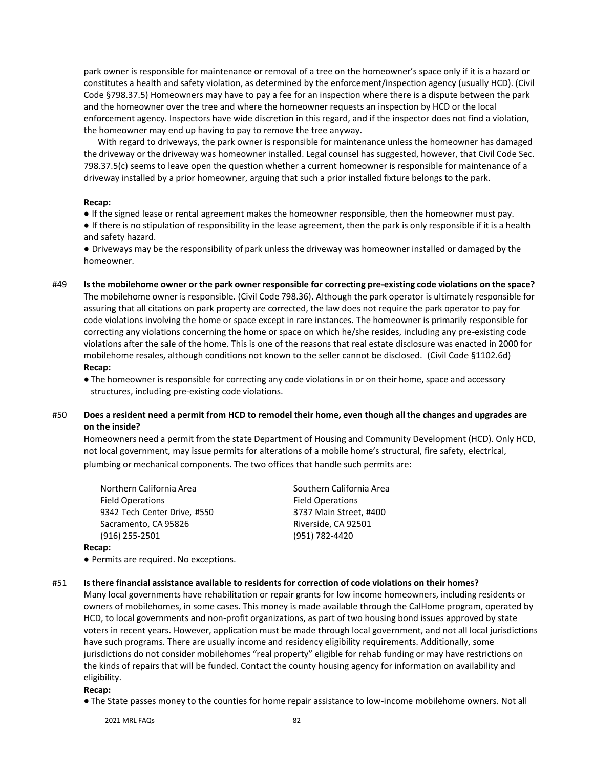park owner is responsible for maintenance or removal of a tree on the homeowner's space only if it is a hazard or constitutes a health and safety violation, as determined by the enforcement/inspection agency (usually HCD). (Civil Code §798.37.5) Homeowners may have to pay a fee for an inspection where there is a dispute between the park and the homeowner over the tree and where the homeowner requests an inspection by HCD or the local enforcement agency. Inspectors have wide discretion in this regard, and if the inspector does not find a violation, the homeowner may end up having to pay to remove the tree anyway.

With regard to driveways, the park owner is responsible for maintenance unless the homeowner has damaged the driveway or the driveway was homeowner installed. Legal counsel has suggested, however, that Civil Code Sec. 798.37.5(c) seems to leave open the question whether a current homeowner is responsible for maintenance of a driveway installed by a prior homeowner, arguing that such a prior installed fixture belongs to the park.

#### **Recap:**

● If the signed lease or rental agreement makes the homeowner responsible, then the homeowner must pay. ● If there is no stipulation of responsibility in the lease agreement, then the park is only responsible if it is a health and safety hazard.

● Driveways may be the responsibility of park unless the driveway was homeowner installed or damaged by the homeowner.

#49 Is the mobilehome owner or the park owner responsible for correcting pre-existing code violations on the space? The mobilehome owner is responsible. (Civil Code 798.36). Although the park operator is ultimately responsible for assuring that all citations on park property are corrected, the law does not require the park operator to pay for code violations involving the home or space except in rare instances. The homeowner is primarily responsible for correcting any violations concerning the home or space on which he/she resides, including any pre-existing code violations after the sale of the home. This is one of the reasons that real estate disclosure was enacted in 2000 for mobilehome resales, although conditions not known to the seller cannot be disclosed. (Civil Code §1102.6d) **Recap:**

● The homeowner is responsible for correcting any code violations in or on their home, space and accessory structures, including pre-existing code violations.

## #50 Does a resident need a permit from HCD to remodel their home, even though all the changes and upgrades are **on the inside?**

Homeowners need a permit from the state Department of Housing and Community Development (HCD). Only HCD, not local government, may issue permits for alterations of a mobile home's structural, fire safety, electrical, plumbing or mechanical components. The two offices that handle such permits are:

| Northern California Area     | Sout  |
|------------------------------|-------|
| <b>Field Operations</b>      | Field |
| 9342 Tech Center Drive, #550 | 3737  |
| Sacramento, CA 95826         | River |
| (916) 255-2501               | (951  |
| an.                          |       |

hern California Area **Operations** 7 Main Street, #400 rside, CA 92501 (2) 782-4420

## **Recap:**

● Permits are required. No exceptions.

## #51 **Is there financial assistance available to residents for correction of code violations on their homes?**

Many local governments have rehabilitation or repair grants for low income homeowners, including residents or owners of mobilehomes, in some cases. This money is made available through the CalHome program, operated by HCD, to local governments and non-profit organizations, as part of two housing bond issues approved by state voters in recent years. However, application must be made through local government, and not all local jurisdictions have such programs. There are usually income and residency eligibility requirements. Additionally, some jurisdictions do not consider mobilehomes "real property" eligible for rehab funding or may have restrictions on the kinds of repairs that will be funded. Contact the county housing agency for information on availability and eligibility.

**Recap:**

● The State passes money to the counties for home repair assistance to low-income mobilehome owners. Not all

2021 MRL FAQs 82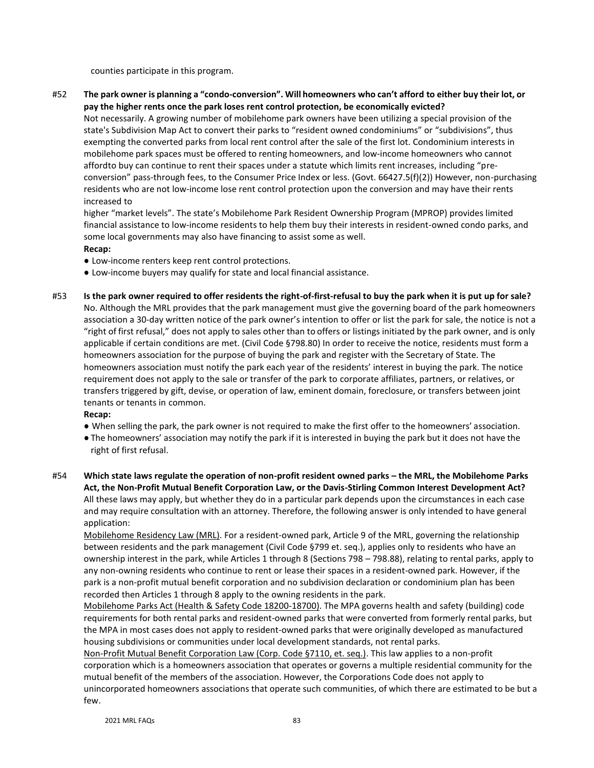counties participate in this program.

#52 The park owner is planning a "condo-conversion". Will homeowners who can't afford to either buy their lot, or **pay the higher rents once the park loses rent control protection, be economically evicted?**

Not necessarily. A growing number of mobilehome park owners have been utilizing a special provision of the state's Subdivision Map Act to convert their parks to "resident owned condominiums" or "subdivisions", thus exempting the converted parks from local rent control after the sale of the first lot. Condominium interests in mobilehome park spaces must be offered to renting homeowners, and low-income homeowners who cannot affordto buy can continue to rent their spaces under a statute which limits rent increases, including "preconversion" pass-through fees, to the Consumer Price Index or less. (Govt. 66427.5(f)(2)) However, non-purchasing residents who are not low-income lose rent control protection upon the conversion and may have their rents increased to

higher "market levels". The state's Mobilehome Park Resident Ownership Program (MPROP) provides limited financial assistance to low-income residents to help them buy their interests in resident-owned condo parks, and some local governments may also have financing to assist some as well.

- **Recap:**
- Low-income renters keep rent control protections.
- Low-income buyers may qualify for state and local financial assistance.
- #53 **Is the park owner required to offer residents the right-of-first-refusal to buy the park when it is put up for sale?** No. Although the MRL provides that the park management must give the governing board of the park homeowners association a 30-day written notice of the park owner's intention to offer or list the park for sale, the notice is not a "right of first refusal," does not apply to sales other than to offers or listings initiated by the park owner, and is only applicable if certain conditions are met. (Civil Code §798.80) In order to receive the notice, residents must form a homeowners association for the purpose of buying the park and register with the Secretary of State. The homeowners association must notify the park each year of the residents' interest in buying the park. The notice requirement does not apply to the sale or transfer of the park to corporate affiliates, partners, or relatives, or transfers triggered by gift, devise, or operation of law, eminent domain, foreclosure, or transfers between joint tenants or tenants in common.

## **Recap:**

- When selling the park, the park owner is not required to make the first offer to the homeowners' association.
- The homeowners' association may notify the park if it is interested in buying the park but it does not have the right of first refusal.
- #54 **Which state laws regulate the operation of non-profit resident owned parks – the MRL, the Mobilehome Parks Act, the Non-Profit Mutual Benefit Corporation Law, or the Davis-Stirling Common Interest Development Act?** All these laws may apply, but whether they do in a particular park depends upon the circumstances in each case and may require consultation with an attorney. Therefore, the following answer is only intended to have general application:

Mobilehome Residency Law (MRL). For a resident-owned park, Article 9 of the MRL, governing the relationship between residents and the park management (Civil Code §799 et. seq.), applies only to residents who have an ownership interest in the park, while Articles 1 through 8 (Sections 798 – 798.88), relating to rental parks, apply to any non-owning residents who continue to rent or lease their spaces in a resident-owned park. However, if the park is a non-profit mutual benefit corporation and no subdivision declaration or condominium plan has been recorded then Articles 1 through 8 apply to the owning residents in the park.

Mobilehome Parks Act (Health & Safety Code 18200-18700). The MPA governs health and safety (building) code requirements for both rental parks and resident-owned parks that were converted from formerly rental parks, but the MPA in most cases does not apply to resident-owned parks that were originally developed as manufactured housing subdivisions or communities under local development standards, not rental parks.

Non-Profit Mutual Benefit Corporation Law (Corp. Code §7110, et. seq.). This law applies to a non-profit corporation which is a homeowners association that operates or governs a multiple residential community for the mutual benefit of the members of the association. However, the Corporations Code does not apply to unincorporated homeowners associations that operate such communities, of which there are estimated to be but a few.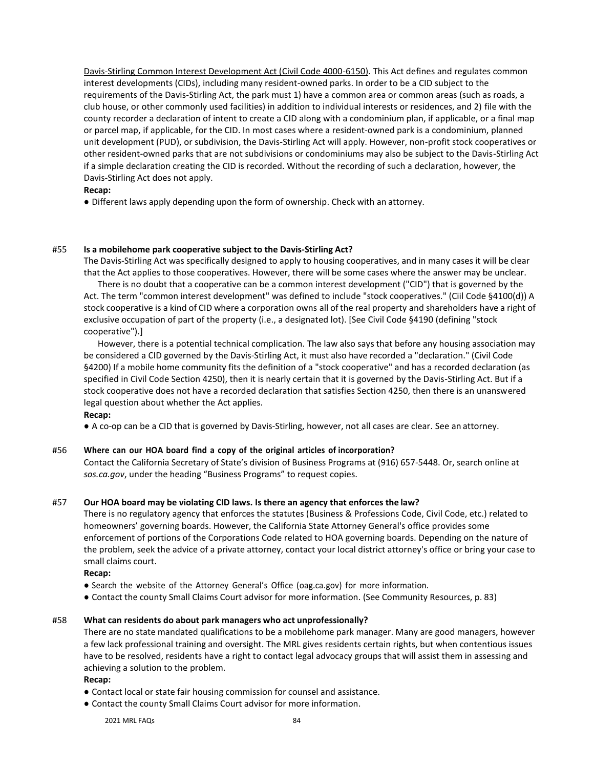Davis-Stirling Common Interest Development Act (Civil Code 4000-6150). This Act defines and regulates common interest developments (CIDs), including many resident-owned parks. In order to be a CID subject to the requirements of the Davis-Stirling Act, the park must 1) have a common area or common areas (such as roads, a club house, or other commonly used facilities) in addition to individual interests or residences, and 2) file with the county recorder a declaration of intent to create a CID along with a condominium plan, if applicable, or a final map or parcel map, if applicable, for the CID. In most cases where a resident-owned park is a condominium, planned unit development (PUD), or subdivision, the Davis-Stirling Act will apply. However, non-profit stock cooperatives or other resident-owned parks that are not subdivisions or condominiums may also be subject to the Davis-Stirling Act if a simple declaration creating the CID is recorded. Without the recording of such a declaration, however, the Davis-Stirling Act does not apply.

## **Recap:**

● Different laws apply depending upon the form of ownership. Check with an attorney.

## #55 **Is a mobilehome park cooperative subject to the Davis-Stirling Act?**

The Davis-Stirling Act was specifically designed to apply to housing cooperatives, and in many cases it will be clear that the Act applies to those cooperatives. However, there will be some cases where the answer may be unclear.

There is no doubt that a cooperative can be a common interest development ("CID") that is governed by the Act. The term "common interest development" was defined to include "stock cooperatives." (Ciil Code §4100(d)) A stock cooperative is a kind of CID where a corporation owns all of the real property and shareholders have a right of exclusive occupation of part of the property (i.e., a designated lot). [See Civil Code §4190 (defining "stock cooperative").]

However, there is a potential technical complication. The law also says that before any housing association may be considered a CID governed by the Davis-Stirling Act, it must also have recorded a "declaration." (Civil Code §4200) If a mobile home community fits the definition of a "stock cooperative" and has a recorded declaration (as specified in Civil Code Section 4250), then it is nearly certain that it is governed by the Davis-Stirling Act. But if a stock cooperative does not have a recorded declaration that satisfies Section 4250, then there is an unanswered legal question about whether the Act applies.

## **Recap:**

● A co-op can be a CID that is governed by Davis-Stirling, however, not all cases are clear. See an attorney.

## #56 **Where can our HOA board find a copy of the original articles of incorporation?**

Contact the California Secretary of State's division of Business Programs at (916) 657-5448. Or, search online at *sos.ca.gov*, under the heading "Business Programs" to request copies.

## #57 **Our HOA board may be violating CID laws. Is there an agency that enforces the law?**

There is no regulatory agency that enforces the statutes (Business & Professions Code, Civil Code, etc.) related to homeowners' governing boards. However, the California State Attorney General's office provides some enforcement of portions of the Corporations Code related to HOA governing boards. Depending on the nature of the problem, seek the advice of a private attorney, contact your local district attorney's office or bring your case to small claims court.

## **Recap:**

- Search the website of the Attorney General's Office (oag.ca.gov) for more information.
- Contact the county Small Claims Court advisor for more information. (See Community Resources, p. 83)

## #58 **What can residents do about park managers who act unprofessionally?**

There are no state mandated qualifications to be a mobilehome park manager. Many are good managers, however a few lack professional training and oversight. The MRL gives residents certain rights, but when contentious issues have to be resolved, residents have a right to contact legal advocacy groups that will assist them in assessing and achieving a solution to the problem.

## **Recap:**

- Contact local or state fair housing commission for counsel and assistance.
- Contact the county Small Claims Court advisor for more information.

2021 MRI FAOS 84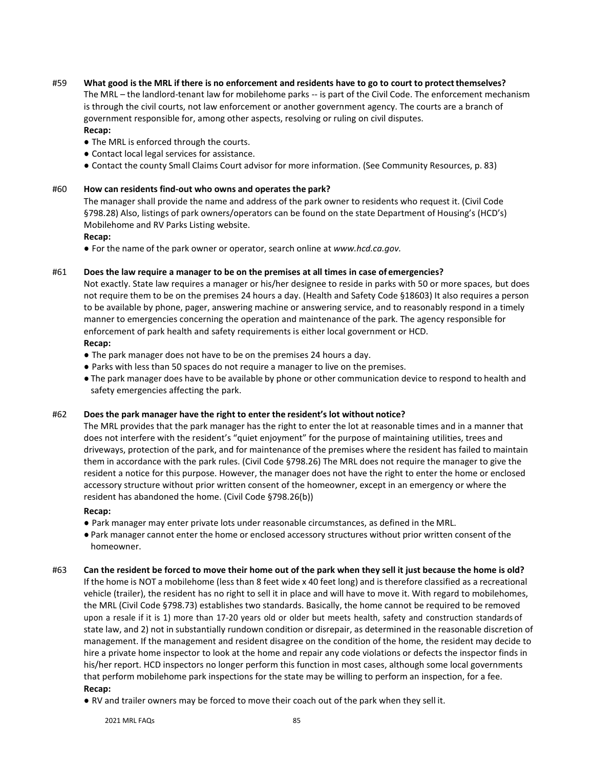## #59 What good is the MRL if there is no enforcement and residents have to go to court to protect themselves?

The MRL – the landlord-tenant law for mobilehome parks -- is part of the Civil Code. The enforcement mechanism is through the civil courts, not law enforcement or another government agency. The courts are a branch of government responsible for, among other aspects, resolving or ruling on civil disputes.

## **Recap:**

- The MRL is enforced through the courts.
- Contact local legal services for assistance.
- Contact the county Small Claims Court advisor for more information. (See Community Resources, p. 83)

## #60 **How can residents find-out who owns and operates the park?**

The manager shall provide the name and address of the park owner to residents who request it. (Civil Code §798.28) Also, listings of park owners/operators can be found on the state Department of Housing's (HCD's) Mobilehome and RV Parks Listing website.

## **Recap:**

● For the name of the park owner or operator, search online at *[www.hcd.ca.gov.](http://www.hcd.ca.gov/)*

## #61 **Does the law require a manager to be on the premises at all times in case of emergencies?**

Not exactly. State law requires a manager or his/her designee to reside in parks with 50 or more spaces, but does not require them to be on the premises 24 hours a day. (Health and Safety Code §18603) It also requires a person to be available by phone, pager, answering machine or answering service, and to reasonably respond in a timely manner to emergencies concerning the operation and maintenance of the park. The agency responsible for enforcement of park health and safety requirements is either local government or HCD.

## **Recap:**

- The park manager does not have to be on the premises 24 hours a day.
- Parks with less than 50 spaces do not require a manager to live on the premises.
- The park manager does have to be available by phone or other communication device to respond to health and safety emergencies affecting the park.

## #62 **Does the park manager have the right to enter the resident's lot without notice?**

The MRL provides that the park manager has the right to enter the lot at reasonable times and in a manner that does not interfere with the resident's "quiet enjoyment" for the purpose of maintaining utilities, trees and driveways, protection of the park, and for maintenance of the premises where the resident has failed to maintain them in accordance with the park rules. (Civil Code §798.26) The MRL does not require the manager to give the resident a notice for this purpose. However, the manager does not have the right to enter the home or enclosed accessory structure without prior written consent of the homeowner, except in an emergency or where the resident has abandoned the home. (Civil Code §798.26(b))

## **Recap:**

- Park manager may enter private lots under reasonable circumstances, as defined in the MRL.
- Park manager cannot enter the home or enclosed accessory structures without prior written consent of the homeowner.
- #63 **Can the resident be forced to move their home out of the park when they sell it just because the home is old?** If the home is NOT a mobilehome (less than 8 feet wide x 40 feet long) and is therefore classified as a recreational vehicle (trailer), the resident has no right to sell it in place and will have to move it. With regard to mobilehomes, the MRL (Civil Code §798.73) establishes two standards. Basically, the home cannot be required to be removed upon a resale if it is 1) more than 17-20 years old or older but meets health, safety and construction standards of state law, and 2) not in substantially rundown condition or disrepair, as determined in the reasonable discretion of management. If the management and resident disagree on the condition of the home, the resident may decide to hire a private home inspector to look at the home and repair any code violations or defects the inspector finds in his/her report. HCD inspectors no longer perform this function in most cases, although some local governments that perform mobilehome park inspections for the state may be willing to perform an inspection, for a fee. **Recap:**
	- RV and trailer owners may be forced to move their coach out of the park when they sell it.

2021 MRI FAOS 85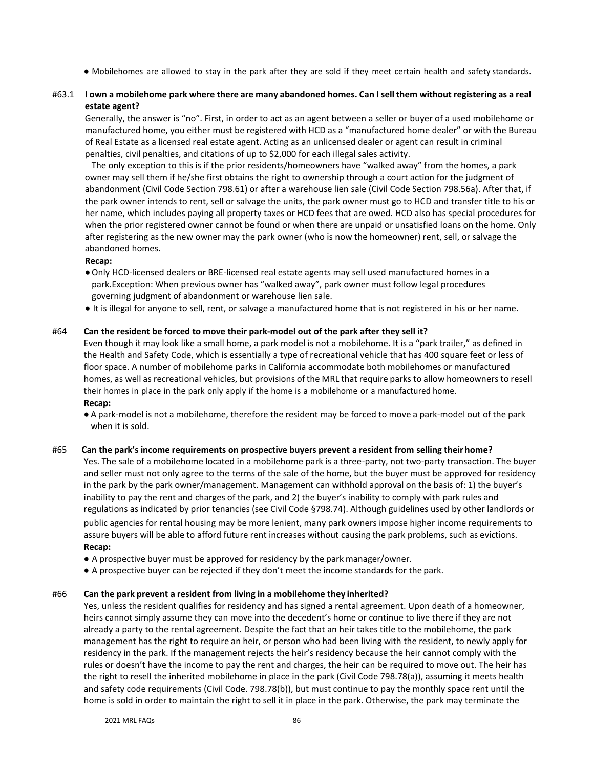- Mobilehomes are allowed to stay in the park after they are sold if they meet certain health and safety standards.
- #63.1 I own a mobilehome park where there are many abandoned homes. Can I sell them without registering as a real **estate agent?**

Generally, the answer is "no". First, in order to act as an agent between a seller or buyer of a used mobilehome or manufactured home, you either must be registered with HCD as a "manufactured home dealer" or with the Bureau of Real Estate as a licensed real estate agent. Acting as an unlicensed dealer or agent can result in criminal penalties, civil penalties, and citations of up to \$2,000 for each illegal sales activity.

The only exception to this is if the prior residents/homeowners have "walked away" from the homes, a park owner may sell them if he/she first obtains the right to ownership through a court action for the judgment of abandonment (Civil Code Section 798.61) or after a warehouse lien sale (Civil Code Section 798.56a). After that, if the park owner intends to rent, sell or salvage the units, the park owner must go to HCD and transfer title to his or her name, which includes paying all property taxes or HCD fees that are owed. HCD also has special procedures for when the prior registered owner cannot be found or when there are unpaid or unsatisfied loans on the home. Only after registering as the new owner may the park owner (who is now the homeowner) rent, sell, or salvage the abandoned homes.

#### **Recap:**

- ●Only HCD-licensed dealers or BRE-licensed real estate agents may sell used manufactured homes in a park.Exception: When previous owner has "walked away", park owner must follow legal procedures governing judgment of abandonment or warehouse lien sale.
- It is illegal for anyone to sell, rent, or salvage a manufactured home that is not registered in his or her name.

#### #64 **Can the resident be forced to move their park-model out of the park after they sell it?**

Even though it may look like a small home, a park model is not a mobilehome. It is a "park trailer," as defined in the Health and Safety Code, which is essentially a type of recreational vehicle that has 400 square feet or less of floor space. A number of mobilehome parks in California accommodate both mobilehomes or manufactured homes, as well as recreational vehicles, but provisions of the MRL that require parks to allow homeowners to resell their homes in place in the park only apply if the home is a mobilehome or a manufactured home. **Recap:**

● A park-model is not a mobilehome, therefore the resident may be forced to move a park-model out of the park when it is sold.

#### #65 **Can the park's income requirements on prospective buyers prevent a resident from selling their home?**

Yes. The sale of a mobilehome located in a mobilehome park is a three-party, not two-party transaction. The buyer and seller must not only agree to the terms of the sale of the home, but the buyer must be approved for residency in the park by the park owner/management. Management can withhold approval on the basis of: 1) the buyer's inability to pay the rent and charges of the park, and 2) the buyer's inability to comply with park rules and regulations as indicated by prior tenancies (see Civil Code §798.74). Although guidelines used by other landlords or public agencies for rental housing may be more lenient, many park owners impose higher income requirements to assure buyers will be able to afford future rent increases without causing the park problems, such as evictions. **Recap:**

- A prospective buyer must be approved for residency by the park manager/owner.
- A prospective buyer can be rejected if they don't meet the income standards for the park.

#### #66 **Can the park prevent a resident from living in a mobilehome they inherited?**

Yes, unless the resident qualifies for residency and has signed a rental agreement. Upon death of a homeowner, heirs cannot simply assume they can move into the decedent's home or continue to live there if they are not already a party to the rental agreement. Despite the fact that an heir takes title to the mobilehome, the park management has the right to require an heir, or person who had been living with the resident, to newly apply for residency in the park. If the management rejects the heir's residency because the heir cannot comply with the rules or doesn't have the income to pay the rent and charges, the heir can be required to move out. The heir has the right to resell the inherited mobilehome in place in the park (Civil Code 798.78(a)), assuming it meets health and safety code requirements (Civil Code. 798.78(b)), but must continue to pay the monthly space rent until the home is sold in order to maintain the right to sell it in place in the park. Otherwise, the park may terminate the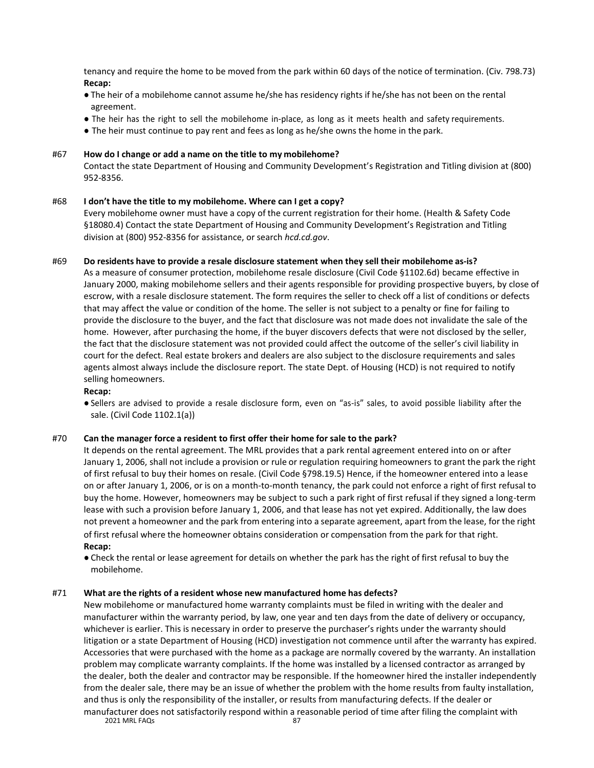tenancy and require the home to be moved from the park within 60 days of the notice of termination. (Civ. 798.73) **Recap:**

- The heir of a mobilehome cannot assume he/she has residency rights if he/she has not been on the rental agreement.
- The heir has the right to sell the mobilehome in-place, as long as it meets health and safety requirements.
- The heir must continue to pay rent and fees as long as he/she owns the home in the park.

## #67 **How do I change or add a name on the title to my mobilehome?**

Contact the state Department of Housing and Community Development's Registration and Titling division at (800) 952-8356.

## #68 **I don't have the title to my mobilehome. Where can I get a copy?**

Every mobilehome owner must have a copy of the current registration for their home. (Health & Safety Code §18080.4) Contact the state Department of Housing and Community Development's Registration and Titling division at (800) 952-8356 for assistance, or search *hcd.cd.gov*.

#### #69 **Do residents have to provide a resale disclosure statement when they sell their mobilehome as-is?**

As a measure of consumer protection, mobilehome resale disclosure (Civil Code §1102.6d) became effective in January 2000, making mobilehome sellers and their agents responsible for providing prospective buyers, by close of escrow, with a resale disclosure statement. The form requires the seller to check off a list of conditions or defects that may affect the value or condition of the home. The seller is not subject to a penalty or fine for failing to provide the disclosure to the buyer, and the fact that disclosure was not made does not invalidate the sale of the home. However, after purchasing the home, if the buyer discovers defects that were not disclosed by the seller, the fact that the disclosure statement was not provided could affect the outcome of the seller's civil liability in court for the defect. Real estate brokers and dealers are also subject to the disclosure requirements and sales agents almost always include the disclosure report. The state Dept. of Housing (HCD) is not required to notify selling homeowners.

#### **Recap:**

● Sellers are advised to provide a resale disclosure form, even on "as-is" sales, to avoid possible liability after the sale. (Civil Code 1102.1(a))

#### #70 **Can the manager force a resident to first offer their home for sale to the park?**

It depends on the rental agreement. The MRL provides that a park rental agreement entered into on or after January 1, 2006, shall not include a provision or rule or regulation requiring homeowners to grant the park the right of first refusal to buy their homes on resale. (Civil Code §798.19.5) Hence, if the homeowner entered into a lease on or after January 1, 2006, or is on a month-to-month tenancy, the park could not enforce a right of first refusal to buy the home. However, homeowners may be subject to such a park right of first refusal if they signed a long-term lease with such a provision before January 1, 2006, and that lease has not yet expired. Additionally, the law does not prevent a homeowner and the park from entering into a separate agreement, apart from the lease, for the right of first refusal where the homeowner obtains consideration or compensation from the park for that right. **Recap:**

● Check the rental or lease agreement for details on whether the park has the right of first refusal to buy the mobilehome.

#### #71 **What are the rights of a resident whose new manufactured home has defects?**

2021 MRL FAQs
87 New mobilehome or manufactured home warranty complaints must be filed in writing with the dealer and manufacturer within the warranty period, by law, one year and ten days from the date of delivery or occupancy, whichever is earlier. This is necessary in order to preserve the purchaser's rights under the warranty should litigation or a state Department of Housing (HCD) investigation not commence until after the warranty has expired. Accessories that were purchased with the home as a package are normally covered by the warranty. An installation problem may complicate warranty complaints. If the home was installed by a licensed contractor as arranged by the dealer, both the dealer and contractor may be responsible. If the homeowner hired the installer independently from the dealer sale, there may be an issue of whether the problem with the home results from faulty installation, and thus is only the responsibility of the installer, or results from manufacturing defects. If the dealer or manufacturer does not satisfactorily respond within a reasonable period of time after filing the complaint with